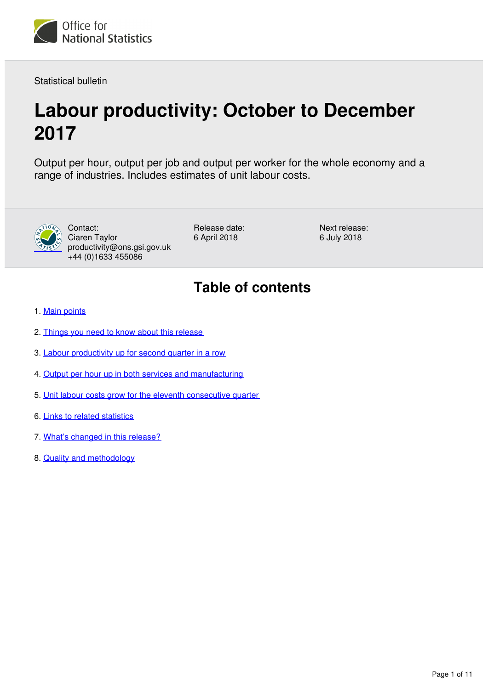

Statistical bulletin

# **Labour productivity: October to December 2017**

Output per hour, output per job and output per worker for the whole economy and a range of industries. Includes estimates of unit labour costs.



Contact: Ciaren Taylor productivity@ons.gsi.gov.uk +44 (0)1633 455086

Release date: 6 April 2018

Next release: 6 July 2018

# **Table of contents**

- 1. [Main points](#page-1-0)
- 2. [Things you need to know about this release](#page-1-1)
- 3. [Labour productivity up for second quarter in a row](#page-2-0)
- 4. [Output per hour up in both services and manufacturing](#page-4-0)
- 5. [Unit labour costs grow for the eleventh consecutive quarter](#page-5-0)
- 6. [Links to related statistics](#page-6-0)
- 7. [What's changed in this release?](#page-8-0)
- 8. [Quality and methodology](#page-8-1)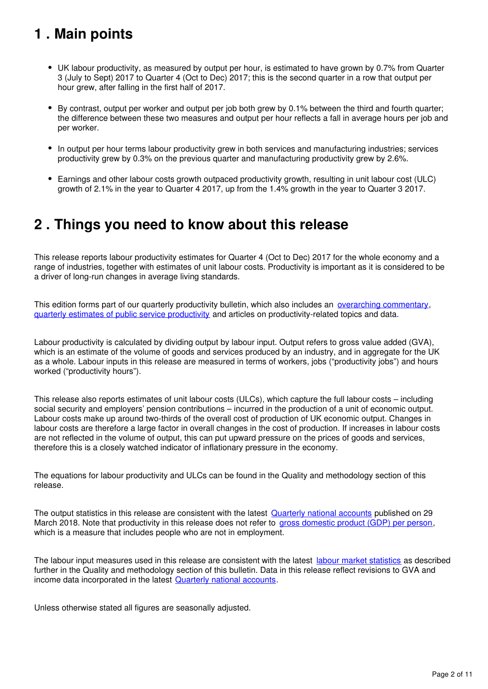# <span id="page-1-0"></span>**1 . Main points**

- UK labour productivity, as measured by output per hour, is estimated to have grown by 0.7% from Quarter 3 (July to Sept) 2017 to Quarter 4 (Oct to Dec) 2017; this is the second quarter in a row that output per hour grew, after falling in the first half of 2017.
- By contrast, output per worker and output per job both grew by 0.1% between the third and fourth quarter; the difference between these two measures and output per hour reflects a fall in average hours per job and per worker.
- In output per hour terms labour productivity grew in both services and manufacturing industries; services productivity grew by 0.3% on the previous quarter and manufacturing productivity grew by 2.6%.
- Earnings and other labour costs growth outpaced productivity growth, resulting in unit labour cost (ULC) growth of 2.1% in the year to Quarter 4 2017, up from the 1.4% growth in the year to Quarter 3 2017.

# <span id="page-1-1"></span>**2 . Things you need to know about this release**

This release reports labour productivity estimates for Quarter 4 (Oct to Dec) 2017 for the whole economy and a range of industries, together with estimates of unit labour costs. Productivity is important as it is considered to be a driver of long-run changes in average living standards.

This edition forms part of our quarterly productivity bulletin, which also includes an *[overarching commentary](https://www.ons.gov.uk/employmentandlabourmarket/peopleinwork/labourproductivity/articles/ukproductivityintroduction/previousReleases)*, [quarterly estimates of public service productivity](https://www.ons.gov.uk/employmentandlabourmarket/peopleinwork/labourproductivity/articles/quarterlypublicserviceproductivityexperimentalstatistics/previousReleases) and articles on productivity-related topics and data.

Labour productivity is calculated by dividing output by labour input. Output refers to gross value added (GVA), which is an estimate of the volume of goods and services produced by an industry, and in aggregate for the UK as a whole. Labour inputs in this release are measured in terms of workers, jobs ("productivity jobs") and hours worked ("productivity hours").

This release also reports estimates of unit labour costs (ULCs), which capture the full labour costs – including social security and employers' pension contributions – incurred in the production of a unit of economic output. Labour costs make up around two-thirds of the overall cost of production of UK economic output. Changes in labour costs are therefore a large factor in overall changes in the cost of production. If increases in labour costs are not reflected in the volume of output, this can put upward pressure on the prices of goods and services, therefore this is a closely watched indicator of inflationary pressure in the economy.

The equations for labour productivity and ULCs can be found in the Quality and methodology section of this release.

The output statistics in this release are consistent with the latest [Quarterly national accounts](https://www.ons.gov.uk/economy/grossdomesticproductgdp/bulletins/quarterlynationalaccounts/previousReleases) published on 29 March 2018. Note that productivity in this release does not refer to [gross domestic product \(GDP\) per person](https://www.ons.gov.uk/peoplepopulationandcommunity/personalandhouseholdfinances/incomeandwealth/bulletins/economicwellbeing/previousReleases), which is a measure that includes people who are not in employment.

The labour input measures used in this release are consistent with the latest [labour market statistics](https://www.ons.gov.uk/employmentandlabourmarket/peopleinwork/employmentandemployeetypes/bulletins/uklabourmarket/previousReleases) as described further in the Quality and methodology section of this bulletin. Data in this release reflect revisions to GVA and income data incorporated in the latest Quarterly national accounts[.](https://www.ons.gov.uk/economy/grossdomesticproductgdp/bulletins/quarterlynationalaccounts/previousReleases)

Unless otherwise stated all figures are seasonally adjusted.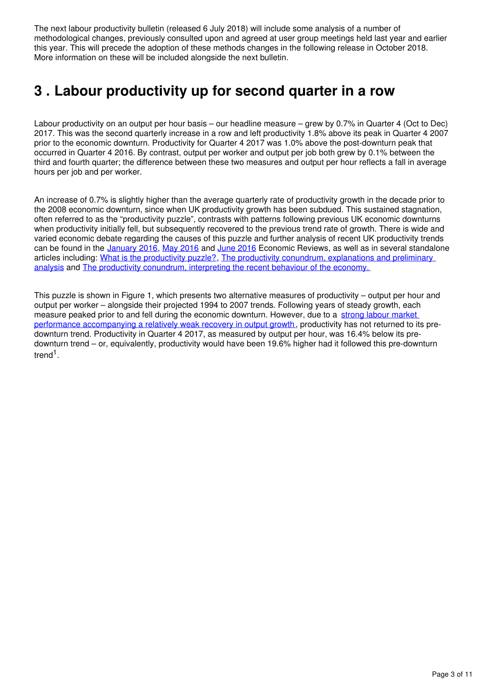The next labour productivity bulletin (released 6 July 2018) will include some analysis of a number of methodological changes, previously consulted upon and agreed at user group meetings held last year and earlier this year. This will precede the adoption of these methods changes in the following release in October 2018. More information on these will be included alongside the next bulletin.

# <span id="page-2-0"></span>**3 . Labour productivity up for second quarter in a row**

Labour productivity on an output per hour basis – our headline measure – grew by 0.7% in Quarter 4 (Oct to Dec) 2017. This was the second quarterly increase in a row and left productivity 1.8% above its peak in Quarter 4 2007 prior to the economic downturn. Productivity for Quarter 4 2017 was 1.0% above the post-downturn peak that occurred in Quarter 4 2016. By contrast, output per worker and output per job both grew by 0.1% between the third and fourth quarter; the difference between these two measures and output per hour reflects a fall in average hours per job and per worker.

An increase of 0.7% is slightly higher than the average quarterly rate of productivity growth in the decade prior to the 2008 economic downturn, since when UK productivity growth has been subdued. This sustained stagnation, often referred to as the "productivity puzzle", contrasts with patterns following previous UK economic downturns when productivity initially fell, but subsequently recovered to the previous trend rate of growth. There is wide and varied economic debate regarding the causes of this puzzle and further analysis of recent UK productivity trends canbe found in the [January 2016](https://www.ons.gov.uk/economy/nationalaccounts/uksectoraccounts/articles/economicreview/january2016), May 2016 and June 2016 Economic Reviews, as well as in several standalone articles including: [What is the productivity puzzle?](http://visual.ons.gov.uk/productivity-puzzle/), The productivity conundrum, explanations and preliminary [analysis](http://webarchive.nationalarchives.gov.uk/20160105160709/http:/www.ons.gov.uk/ons/rel/elmr/the-productivity-conundrum/explanations-and-preliminary-analysis/art-explanations-and-preliminary-analysis.html) and [The productivity conundrum, interpreting the recent behaviour of the economy.](http://webarchive.nationalarchives.gov.uk/20160105160709/http:/www.ons.gov.uk/ons/rel/elmr/the-productivity-conundrum/interpreting-the-recent-behaviour-of-the-economy/art-interpreting-the-recent-behaviour-of-the-economy.html)

This puzzle is shown in Figure 1, which presents two alternative measures of productivity – output per hour and output per worker – alongside their projected 1994 to 2007 trends. Following years of steady growth, each measure peaked prior to and fell during the economic downturn. However, due to a strong labour market [performance accompanying a relatively weak recovery in output growth,](https://www.ons.gov.uk/economy/economicoutputandproductivity/productivitymeasures/articles/gdpandthelabourmarket) productivity has not returned to its predownturn trend. Productivity in Quarter 4 2017, as measured by output per hour, was 16.4% below its predownturn trend – or, equivalently, productivity would have been 19.6% higher had it followed this pre-downturn trend<sup>1</sup>.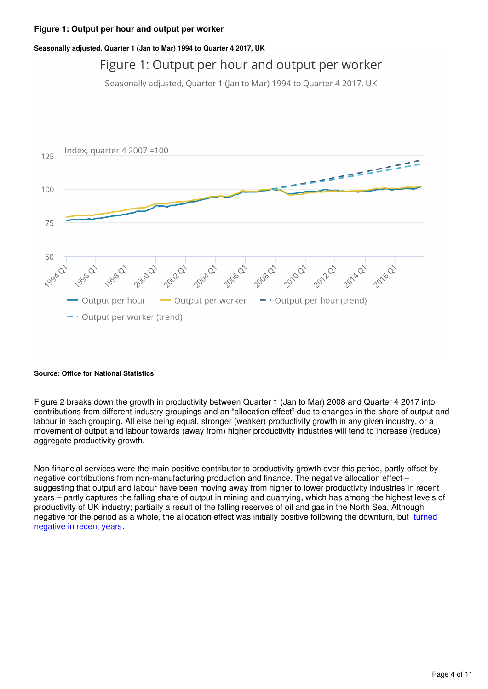#### **Figure 1: Output per hour and output per worker**

#### **Seasonally adjusted, Quarter 1 (Jan to Mar) 1994 to Quarter 4 2017, UK**

## Figure 1: Output per hour and output per worker

Seasonally adjusted, Quarter 1 (Jan to Mar) 1994 to Quarter 4 2017, UK



#### **Source: Office for National Statistics**

Figure 2 breaks down the growth in productivity between Quarter 1 (Jan to Mar) 2008 and Quarter 4 2017 into contributions from different industry groupings and an "allocation effect" due to changes in the share of output and labour in each grouping. All else being equal, stronger (weaker) productivity growth in any given industry, or a movement of output and labour towards (away from) higher productivity industries will tend to increase (reduce) aggregate productivity growth.

Non-financial services were the main positive contributor to productivity growth over this period, partly offset by negative contributions from non-manufacturing production and finance. The negative allocation effect – suggesting that output and labour have been moving away from higher to lower productivity industries in recent years – partly captures the falling share of output in mining and quarrying, which has among the highest levels of productivity of UK industry; partially a result of the falling reserves of oil and gas in the North Sea. Although negative for the period as a whole, the allocation effect was initially positive following the downturn, but [turned](https://www.ons.gov.uk/employmentandlabourmarket/peopleinwork/labourproductivity/articles/ukproductivityintroduction/jantomar2017#labour-productivity)  [negative in recent years](https://www.ons.gov.uk/employmentandlabourmarket/peopleinwork/labourproductivity/articles/ukproductivityintroduction/jantomar2017#labour-productivity).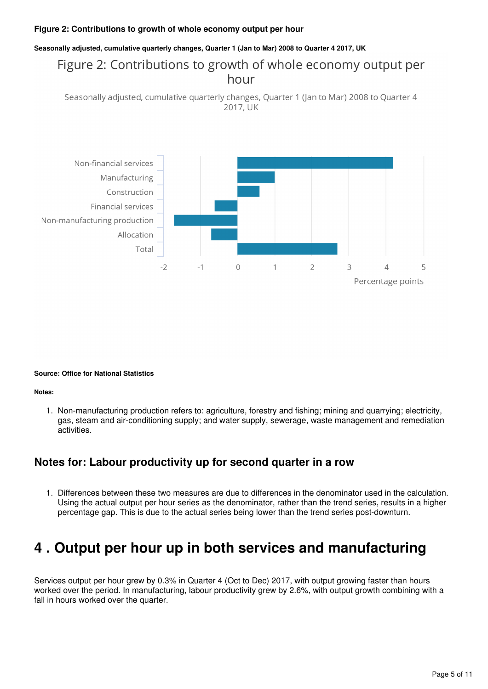#### **Figure 2: Contributions to growth of whole economy output per hour**

#### **Seasonally adjusted, cumulative quarterly changes, Quarter 1 (Jan to Mar) 2008 to Quarter 4 2017, UK**

### Figure 2: Contributions to growth of whole economy output per hour

Seasonally adjusted, cumulative quarterly changes, Quarter 1 (Jan to Mar) 2008 to Quarter 4 2017, UK



#### **Source: Office for National Statistics**

#### **Notes:**

1. Non-manufacturing production refers to: agriculture, forestry and fishing; mining and quarrying; electricity, gas, steam and air-conditioning supply; and water supply, sewerage, waste management and remediation activities.

### **Notes for: Labour productivity up for second quarter in a row**

1. Differences between these two measures are due to differences in the denominator used in the calculation. Using the actual output per hour series as the denominator, rather than the trend series, results in a higher percentage gap. This is due to the actual series being lower than the trend series post-downturn.

## <span id="page-4-0"></span>**4 . Output per hour up in both services and manufacturing**

Services output per hour grew by 0.3% in Quarter 4 (Oct to Dec) 2017, with output growing faster than hours worked over the period. In manufacturing, labour productivity grew by 2.6%, with output growth combining with a fall in hours worked over the quarter.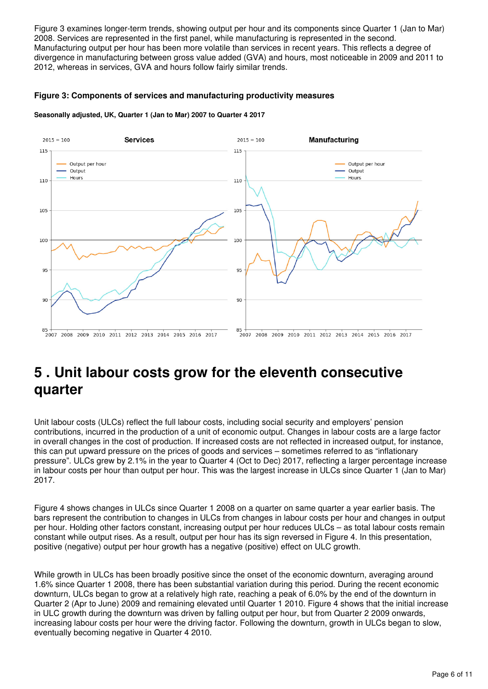Figure 3 examines longer-term trends, showing output per hour and its components since Quarter 1 (Jan to Mar) 2008. Services are represented in the first panel, while manufacturing is represented in the second. Manufacturing output per hour has been more volatile than services in recent years. This reflects a degree of divergence in manufacturing between gross value added (GVA) and hours, most noticeable in 2009 and 2011 to 2012, whereas in services, GVA and hours follow fairly similar trends.

#### **Figure 3: Components of services and manufacturing productivity measures**

#### **Seasonally adjusted, UK, Quarter 1 (Jan to Mar) 2007 to Quarter 4 2017**



# <span id="page-5-0"></span>**5 . Unit labour costs grow for the eleventh consecutive quarter**

Unit labour costs (ULCs) reflect the full labour costs, including social security and employers' pension contributions, incurred in the production of a unit of economic output. Changes in labour costs are a large factor in overall changes in the cost of production. If increased costs are not reflected in increased output, for instance, this can put upward pressure on the prices of goods and services – sometimes referred to as "inflationary pressure". ULCs grew by 2.1% in the year to Quarter 4 (Oct to Dec) 2017, reflecting a larger percentage increase in labour costs per hour than output per hour. This was the largest increase in ULCs since Quarter 1 (Jan to Mar) 2017.

Figure 4 shows changes in ULCs since Quarter 1 2008 on a quarter on same quarter a year earlier basis. The bars represent the contribution to changes in ULCs from changes in labour costs per hour and changes in output per hour. Holding other factors constant, increasing output per hour reduces ULCs – as total labour costs remain constant while output rises. As a result, output per hour has its sign reversed in Figure 4. In this presentation, positive (negative) output per hour growth has a negative (positive) effect on ULC growth.

While growth in ULCs has been broadly positive since the onset of the economic downturn, averaging around 1.6% since Quarter 1 2008, there has been substantial variation during this period. During the recent economic downturn, ULCs began to grow at a relatively high rate, reaching a peak of 6.0% by the end of the downturn in Quarter 2 (Apr to June) 2009 and remaining elevated until Quarter 1 2010. Figure 4 shows that the initial increase in ULC growth during the downturn was driven by falling output per hour, but from Quarter 2 2009 onwards, increasing labour costs per hour were the driving factor. Following the downturn, growth in ULCs began to slow, eventually becoming negative in Quarter 4 2010.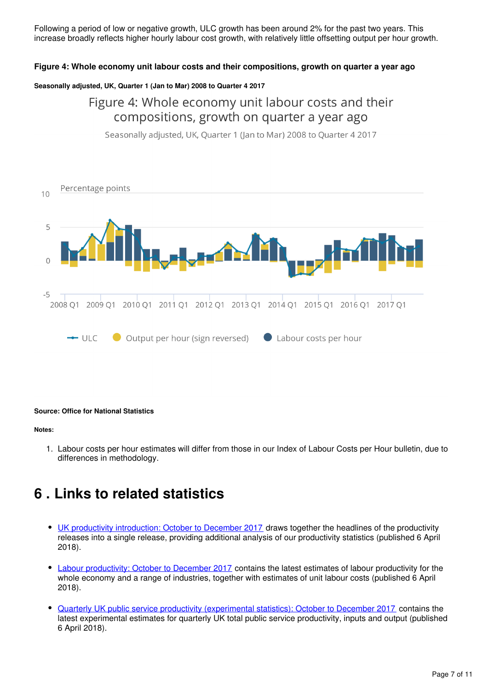Following a period of low or negative growth, ULC growth has been around 2% for the past two years. This increase broadly reflects higher hourly labour cost growth, with relatively little offsetting output per hour growth.

#### **Figure 4: Whole economy unit labour costs and their compositions, growth on quarter a year ago**

#### **Seasonally adjusted, UK, Quarter 1 (Jan to Mar) 2008 to Quarter 4 2017**

### Figure 4: Whole economy unit labour costs and their compositions, growth on quarter a year ago

Seasonally adjusted, UK, Quarter 1 (Jan to Mar) 2008 to Quarter 4 2017



#### **Source: Office for National Statistics**

#### **Notes:**

1. Labour costs per hour estimates will differ from those in our Index of Labour Costs per Hour bulletin, due to differences in methodology.

## <span id="page-6-0"></span>**6 . Links to related statistics**

- [UK productivity introduction: October to December 2017](https://www.ons.gov.uk/economy/economicoutputandproductivity/productivitymeasures/bulletins/internationalcomparisonsofproductivityfinalestimates/previousReleases) draws together the headlines of the productivity releases into a single release, providing additional analysis of our productivity statistics (published 6 April 2018).
- [Labour productivity: October to December 2017](http://www.oecd.org/std/oecdmaineconomicindicatorsmei.htm) contains the latest estimates of labour productivity for the whole economy and a range of industries, together with estimates of unit labour costs (published 6 April 2018).
- [Quarterly UK public service productivity \(experimental statistics\): October to December 2017](https://www.ons.gov.uk/economy/economicoutputandproductivity/productivitymeasures/articles/multifactorproductivityestimates/experimentalestimatestoquarter2apriltojune2017) contains the latest experimental estimates for quarterly UK total public service productivity, inputs and output (published 6 April 2018).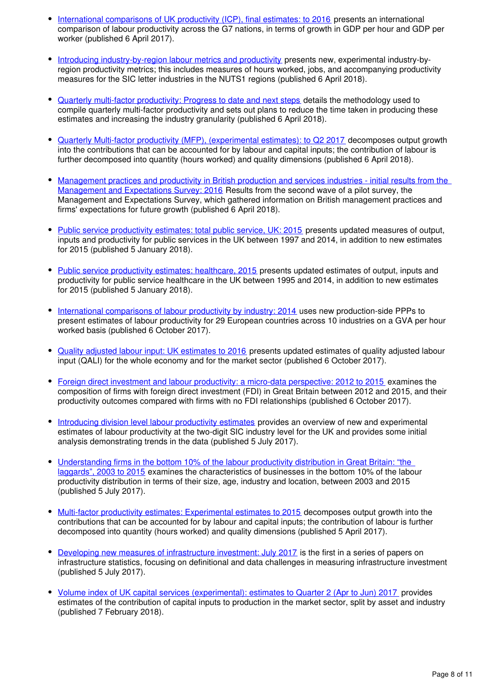- [International comparisons of UK productivity \(ICP\), final estimates: to 2016](http://www.conference-board.org/data/economydatabase) presents an international comparison of labour productivity across the G7 nations, in terms of growth in GDP per hour and GDP per worker (published 6 April 2017).
- [Introducing industry-by-region labour metrics and productivity](https://www.ons.gov.uk/economy/economicoutputandproductivity/productivitymeasures/articles/multifactorproductivityestimates/previousReleases) presents new, experimental industry-byregion productivity metrics; this includes measures of hours worked, jobs, and accompanying productivity measures for the SIC letter industries in the NUTS1 regions (published 6 April 2018).
- [Quarterly multi-factor productivity: Progress to date and next steps](https://www.ons.gov.uk/economy/nationalaccounts/uksectoraccounts/articles/economicreview/previousReleases) details the methodology used to compile quarterly multi-factor productivity and sets out plans to reduce the time taken in producing these estimates and increasing the industry granularity (published 6 April 2018).
- [Quarterly Multi-factor productivity \(MFP\), \(experimental estimates\): to Q2 2017](https://www.ons.gov.uk/employmentandlabourmarket/peopleinwork/earningsandworkinghours/bulletins/indexoflabourcostsperhourilch/previousReleases) decomposes output growth into the contributions that can be accounted for by labour and capital inputs; the contribution of labour is further decomposed into quantity (hours worked) and quality dimensions (published 6 April 2018).
- [Management practices and productivity in British production and services industries initial results from the](https://www.ons.gov.uk/economy/economicoutputandproductivity/publicservicesproductivity)  [Management and Expectations Survey: 2016](https://www.ons.gov.uk/economy/economicoutputandproductivity/publicservicesproductivity) Results from the second wave of a pilot survey, the Management and Expectations Survey, which gathered information on British management practices and firms' expectations for future growth (published 6 April 2018).
- [Public service productivity estimates: total public service, UK: 2015](http://webarchive.nationalarchives.gov.uk/20160105160709/http:/www.ons.gov.uk/ons/guide-method/method-quality/specific/economy/productivity-measures/productivity-articles/index.html) presents updated measures of output, inputs and productivity for public services in the UK between 1997 and 2014, in addition to new estimates for 2015 (published 5 January 2018).
- [Public service productivity estimates: healthcare, 2015](https://www.ons.gov.uk/economy/economicoutputandproductivity/productivitymeasures/methodologies/productivityhandbook) presents updated estimates of output, inputs and productivity for public service healthcare in the UK between 1995 and 2014, in addition to new estimates for 2015 (published 5 January 2018).
- [International comparisons of labour productivity by industry: 2014](https://www.ons.gov.uk/economy/economicoutputandproductivity/productivitymeasures/articles/internationalcomparisonsoflabourproductivitybyindustry/2014) uses new production-side PPPs to present estimates of labour productivity for 29 European countries across 10 industries on a GVA per hour worked basis (published 6 October 2017).
- [Quality adjusted labour input: UK estimates to 2016](https://www.ons.gov.uk/economy/economicoutputandproductivity/productivitymeasures/articles/qualityadjustedlabourinput/ukestimatesto2016) presents updated estimates of quality adjusted labour input (QALI) for the whole economy and for the market sector (published 6 October 2017).
- [Foreign direct investment and labour productivity: a micro-data perspective: 2012 to 2015](https://www.ons.gov.uk/economy/economicoutputandproductivity/productivitymeasures/articles/foreigndirectinvestmentandlabourproductivityamicrodataperspective/2012to2015) examines the composition of firms with foreign direct investment (FDI) in Great Britain between 2012 and 2015, and their productivity outcomes compared with firms with no FDI relationships (published 6 October 2017).
- [Introducing division level labour productivity estimates](https://www.ons.gov.uk/economy/economicoutputandproductivity/productivitymeasures/articles/introducingdivisionlevellabourproductivityestimates/july2017) provides an overview of new and experimental estimates of labour productivity at the two-digit SIC industry level for the UK and provides some initial analysis demonstrating trends in the data (published 5 July 2017).
- [Understanding firms in the bottom 10% of the labour productivity distribution in Great Britain: "the](https://www.ons.gov.uk/economy/economicoutputandproductivity/productivitymeasures/articles/understandingfirmsinthebottom10ofthelabourproductivitydistributioningreatbritain/jantomar2017)  [laggards", 2003 to 2015](https://www.ons.gov.uk/economy/economicoutputandproductivity/productivitymeasures/articles/understandingfirmsinthebottom10ofthelabourproductivitydistributioningreatbritain/jantomar2017) examines the characteristics of businesses in the bottom 10% of the labour productivity distribution in terms of their size, age, industry and location, between 2003 and 2015 (published 5 July 2017).
- [Multi-factor productivity estimates: Experimental estimates to 2015](https://www.ons.gov.uk/economy/economicoutputandproductivity/productivitymeasures/articles/multifactorproductivityestimates/experimentalestimatesto2015) decomposes output growth into the contributions that can be accounted for by labour and capital inputs; the contribution of labour is further decomposed into quantity (hours worked) and quality dimensions (published 5 April 2017).
- [Developing new measures of infrastructure investment: July 2017](https://www.ons.gov.uk/economy/economicoutputandproductivity/productivitymeasures/articles/developingnewmeasuresofinfrastructureinvestment/july2017) is the first in a series of papers on infrastructure statistics, focusing on definitional and data challenges in measuring infrastructure investment (published 5 July 2017).
- [Volume index of UK capital services \(experimental\): estimates to Quarter 2 \(Apr to Jun\) 2017](https://www.ons.gov.uk/economy/economicoutputandproductivity/output/articles/volumeindexofukcapitalservicesexperimental/estimatestoquarter2aprtojune2017) provides estimates of the contribution of capital inputs to production in the market sector, split by asset and industry (published 7 February 2018).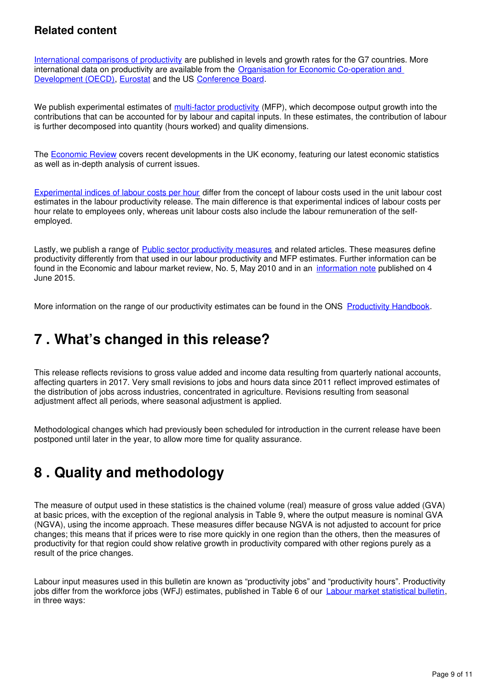### **Related content**

[International comparisons of productivity](https://www.ons.gov.uk/economy/economicoutputandproductivity/productivitymeasures/bulletins/internationalcomparisonsofproductivityfinalestimates/previousReleases) are published in levels and growth rates for the G7 countries. More international data on productivity are available from the [Organisation for Economic Co-operation and](http://www.oecd.org/std/oecdmaineconomicindicatorsmei.htm)  [Development \(OECD\)](http://www.oecd.org/std/oecdmaineconomicindicatorsmei.htm), Eurostat and the US Conference Board.

We publish experimental estimates of [multi-factor productivity](https://www.ons.gov.uk/economy/economicoutputandproductivity/productivitymeasures/articles/multifactorproductivityestimates/previousReleases) (MFP), which decompose output growth into the contributions that can be accounted for by labour and capital inputs. In these estimates, the contribution of labour is further decomposed into quantity (hours worked) and quality dimensions.

The **[Economic Review](https://www.ons.gov.uk/economy/nationalaccounts/uksectoraccounts/articles/economicreview/previousReleases)** covers recent developments in the UK economy, featuring our latest economic statistics as well as in-depth analysis of current issues.

[Experimental indices of labour costs per hour](https://www.ons.gov.uk/employmentandlabourmarket/peopleinwork/earningsandworkinghours/bulletins/indexoflabourcostsperhourilch/previousReleases) differ from the concept of labour costs used in the unit labour cost estimates in the labour productivity release. The main difference is that experimental indices of labour costs per hour relate to employees only, whereas unit labour costs also include the labour remuneration of the selfemployed.

Lastly, we publish a range of [Public sector productivity measures](https://www.ons.gov.uk/economy/economicoutputandproductivity/publicservicesproductivity) and related articles. These measures define productivity differently from that used in our labour productivity and MFP estimates. Further information can be found in the Economic and labour market review, No. 5, May 2010 and in an [information note](http://webarchive.nationalarchives.gov.uk/20160105160709/http:/www.ons.gov.uk/ons/guide-method/method-quality/specific/economy/productivity-measures/productivity-articles/index.html) published on 4 June 2015.

More information on the range of our productivity estimates can be found in the ONS Productivity Handbook.

# <span id="page-8-0"></span>**7 . What's changed in this release?**

This release reflects revisions to gross value added and income data resulting from quarterly national accounts, affecting quarters in 2017. Very small revisions to jobs and hours data since 2011 reflect improved estimates of the distribution of jobs across industries, concentrated in agriculture. Revisions resulting from seasonal adjustment affect all periods, where seasonal adjustment is applied.

Methodological changes which had previously been scheduled for introduction in the current release have been postponed until later in the year, to allow more time for quality assurance.

# <span id="page-8-1"></span>**8 . Quality and methodology**

The measure of output used in these statistics is the chained volume (real) measure of gross value added (GVA) at basic prices, with the exception of the regional analysis in Table 9, where the output measure is nominal GVA (NGVA), using the income approach. These measures differ because NGVA is not adjusted to account for price changes; this means that if prices were to rise more quickly in one region than the others, then the measures of productivity for that region could show relative growth in productivity compared with other regions purely as a result of the price changes.

Labour input measures used in this bulletin are known as "productivity jobs" and "productivity hours". Productivity jobs differ from the workforce jobs (WFJ) estimates[,](https://www.ons.gov.uk/employmentandlabourmarket/peopleinwork/employmentandemployeetypes/bulletins/uklabourmarket/previousReleases) published in Table 6 of our **[Labour market statistical bulletin](https://www.ons.gov.uk/employmentandlabourmarket/peopleinwork/employmentandemployeetypes/bulletins/uklabourmarket/previousReleases)**, in three ways: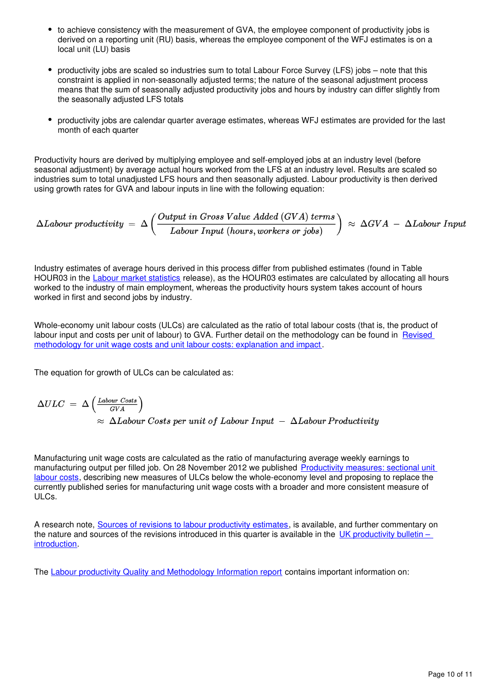- to achieve consistency with the measurement of GVA, the employee component of productivity jobs is derived on a reporting unit (RU) basis, whereas the employee component of the WFJ estimates is on a local unit (LU) basis
- productivity jobs are scaled so industries sum to total Labour Force Survey (LFS) jobs note that this constraint is applied in non-seasonally adjusted terms; the nature of the seasonal adjustment process means that the sum of seasonally adjusted productivity jobs and hours by industry can differ slightly from the seasonally adjusted LFS totals
- productivity jobs are calendar quarter average estimates, whereas WFJ estimates are provided for the last month of each quarter

Productivity hours are derived by multiplying employee and self-employed jobs at an industry level (before seasonal adjustment) by average actual hours worked from the LFS at an industry level. Results are scaled so industries sum to total unadjusted LFS hours and then seasonally adjusted. Labour productivity is then derived using growth rates for GVA and labour inputs in line with the following equation:

$$
\Delta Labor\,\,productivity\,\,=\,\,\Delta\left(\frac{Output\,\,in\,\,Gross\,\,Value\,\,Added\,\,(GVA)\,\,terms}{Labor\,\,Input\,\,(hours, workers\,\,or\,\,jobs)}\right)\,\,\approx\,\,\Delta GVA\,\,-\,\,\Delta Labor\,\,Input\,\,W
$$

Industry estimates of average hours derived in this process differ from published estimates (found in Table HOUR03 in the [Labour market statistics](https://www.ons.gov.uk/employmentandlabourmarket/peopleinwork/employmentandemployeetypes/bulletins/uklabourmarket/previousReleases) release), as the HOUR03 estimates are calculated by allocating all hours worked to the industry of main employment, whereas the productivity hours system takes account of hours worked in first and second jobs by industry.

Whole-economy unit labour costs (ULCs) are calculated as the ratio of total labour costs (that is, the product of labour input and costs per unit of labour) to GVA. Further detail on the methodology can be found in Revised [methodology for unit wage costs and unit labour costs: explanation and impact](http://webarchive.nationalarchives.gov.uk/20160105160709/http:/www.ons.gov.uk/ons/rel/icp/productivity-measures/revised-methodology-for-unit-wage-costs-and-unit-labour-costs--explanation-and-impact/index.html) .

The equation for growth of ULCs can be calculated as:

$$
\Delta ULC = \Delta \left( \frac{Labor \text{ Costs}}{GVA} \right)
$$
  
\approx \Delta Labor \text{ Costs per unit of Labor Input} - \Delta Labor Productivity

Manufacturing unit wage costs are calculated as the ratio of manufacturing average weekly earnings to manufacturing output per filled job. On 28 November 2012 we published [Productivity measures: sectional unit](http://webarchive.nationalarchives.gov.uk/20160105160709/http:/www.ons.gov.uk/ons/rel/icp/productivity-measures/sectional-unit-labour-costs/index.html)  [labour costs](http://webarchive.nationalarchives.gov.uk/20160105160709/http:/www.ons.gov.uk/ons/rel/icp/productivity-measures/sectional-unit-labour-costs/index.html), describing new measures of ULCs below the whole-economy level and proposing to replace the currently published series for manufacturing unit wage costs with a broader and more consistent measure of ULCs.

A research note, [Sources of revisions to labour productivity estimates](http://webarchive.nationalarchives.gov.uk/20160105160709/http:/www.ons.gov.uk/ons/rel/productivity/labour-productivity/q1-2012/index.html), is available, and further commentary on the nature and sources of the revisions introduced in this quarter is available in the [UK productivity bulletin –](https://www.ons.gov.uk/employmentandlabourmarket/peopleinwork/labourproductivity/articles/ukproductivityintroduction/previousReleases)  [introduction](https://www.ons.gov.uk/employmentandlabourmarket/peopleinwork/labourproductivity/articles/ukproductivityintroduction/previousReleases).

The [Labour productivity Quality and Methodology Information report](https://www.ons.gov.uk/employmentandlabourmarket/peopleinwork/labourproductivity/qmis/labourproductivityqmi) contains important information on: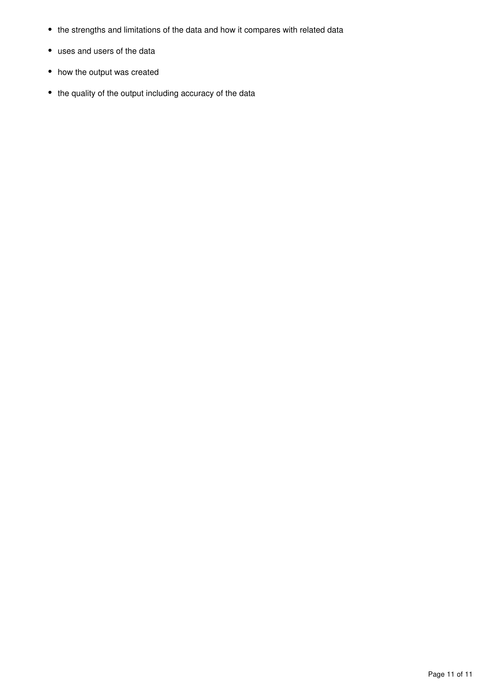- the strengths and limitations of the data and how it compares with related data
- uses and users of the data
- how the output was created
- the quality of the output including accuracy of the data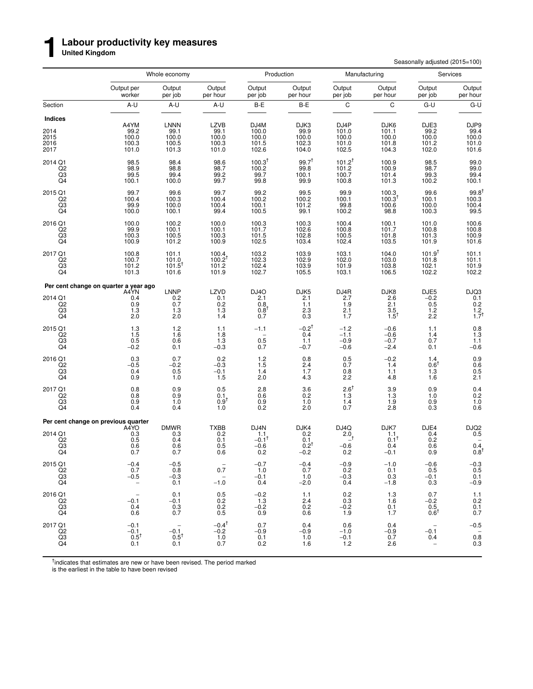#### **Labour productivity key measures**

**United Kingdom**

**1**

Seasonally adjusted (2015=100)

|                                         |                                                            | Whole economy                                     |                                                         |                                              | Production                                  | Manufacturing                                             |                                                     | Services                                                  |                                                            |
|-----------------------------------------|------------------------------------------------------------|---------------------------------------------------|---------------------------------------------------------|----------------------------------------------|---------------------------------------------|-----------------------------------------------------------|-----------------------------------------------------|-----------------------------------------------------------|------------------------------------------------------------|
|                                         | Output per<br>worker                                       | Output<br>per job                                 | Output<br>per hour                                      | Output<br>per job                            | Output<br>per hour                          | Output<br>per job                                         | Output<br>per hour                                  | Output<br>per job                                         | Output<br>per hour                                         |
| Section                                 | A-U                                                        | A-U                                               | A-U                                                     | B-E                                          | B-E                                         | $\mathsf C$                                               | C                                                   | G-U                                                       | $G-U$                                                      |
| Indices<br>2014<br>2015<br>2016<br>2017 | A4YM<br>99.2<br>100.0<br>100.3<br>101.0                    | <b>LNNN</b><br>$99.1$<br>100.0<br>100.5<br>101.3  | <b>LZVB</b><br>$99.1$<br>100.0<br>100.3<br>101.0        | DJ4M<br>$100.0$<br>$100.0$<br>101.5<br>102.6 | DJK3<br>99.9<br>100.0<br>102.3<br>104.0     | DJ <sub>4</sub> P<br>101.0<br>100.0<br>101.0<br>102.5     | DJK6<br>101.1<br>100.0<br>101.8<br>104.3            | DJE3<br>$99.2$<br>100.0<br>101.2<br>102.0                 | DJP9<br>99.4<br>100.0<br>101.0<br>101.6                    |
| 2014 Q1<br>Q2<br>Q3<br>Q4               | 98.5<br>98.9<br>99.5<br>100.1                              | 98.4<br>98.8<br>99.4<br>100.0                     | 98.6<br>98.7<br>99.2<br>99.7                            | $100.3^{\dagger}$<br>100.2<br>99.7<br>99.8   | $99.7^{+}$<br>99.8<br>100.1<br>99.9         | $101.2^{t}$<br>101.2<br>100.7<br>100.8                    | 100.9<br>100.9<br>101.4<br>101.3                    | 98.5<br>98.7<br>99.3<br>100.2                             | 99.0<br>99.0<br>99.4<br>100.1                              |
| 2015 Q1<br>$^{Q2}_{Q3}$<br>Q4           | 99.7<br>100.4<br>99.9<br>100.0                             | 99.6<br>100.3<br>100.0<br>100.1                   | 99.7<br>100.4<br>100.4<br>99.4                          | 99.2<br>100.2<br>100.1<br>100.5              | 99.5<br>100.2<br>101.2<br>99.1              | 99.9<br>100.1<br>99.8<br>100.2                            | 100.3<br>100.3 <sup>†</sup><br>100.6<br>98.8        | 99.6<br>100.1<br>100.0<br>100.3                           | $99.8^{\dagger}$<br>100.3<br>100.4<br>99.5                 |
| 2016 Q1<br>Q2<br>$^{Q3}_{Q4}$           | 100.0<br>99.9<br>100.3<br>100.9                            | 100.2<br>100.1<br>100.5<br>101.2                  | 100.0<br>100.1<br>100.3<br>100.9                        | 100.3<br>101.7<br>101.5<br>102.5             | 100.3<br>102.6<br>102.8<br>103.4            | 100.4<br>100.8<br>100.5<br>102.4                          | 100.1<br>101.7<br>101.8<br>103.5                    | 101.0<br>100.8<br>101.3<br>101.9                          | $100.6$<br>$100.8$<br>100.9<br>101.6                       |
| 2017 Q1<br>Q2<br>Q3<br>Q4               | 100.8<br>100.7<br>101.2<br>101.3                           | 101.1<br>101.0<br>$101.5^T$<br>101.6              | 100.4<br>$100.2^{\dagger}$<br>101.2<br>101.9            | 103.2<br>102.3<br>102.4<br>102.7             | 103.9<br>102.9<br>103.9<br>105.5            | 103.1<br>102.0<br>101.9<br>103.1                          | 104.0<br>103.0<br>103.8<br>106.5                    | $101.9^{t}$<br>101.8<br>102.1<br>102.2                    | 101.1<br>101.1<br>101.9<br>102.2                           |
|                                         | Per cent change on quarter a year ago<br>A4YN              | <b>LNNP</b>                                       | LZVD                                                    | DJ <sub>40</sub>                             | DJK5                                        | DJ4R                                                      | DJK8                                                | DJE5                                                      |                                                            |
| 2014 Q1<br>Q2<br>Q3<br>Q4               | $\begin{array}{c} 0.4 \\ 0.9 \\ 1.3 \end{array}$<br>2.0    | ${}^{0.2}_{0.7}$<br>1.3<br>2.0                    | $\begin{array}{c} 0.1 \\ 0.2 \end{array}$<br>1.3<br>1.4 | $^{2.1}_{0.8}$<br>$0.8^{\dagger}$<br>0.7     | $^{2.1}_{1.1}$<br>2.3<br>0.3                | $^{2.7}_{1.9}$<br>2.1<br>1.7                              | $^{2.6}_{2.1}$<br>$3.5$ <sub>1.5</sub> <sup>+</sup> | $^{-0.2}_{0.5}$<br>1.2<br>2.2                             | $DJO3$<br>0.1<br>0.2<br>1.2<br>1.7                         |
| 2015 Q1<br>$^{Q2}_{Q3}$<br>Q4           | $\begin{array}{c} 1.3 \\ 1.5 \\ 0.5 \end{array}$<br>$-0.2$ | 1.2<br>1.6<br>0.6<br>0.1                          | 1.1<br>1.8<br>$1.\overline{3}$<br>$-0.3$                | $-1.1$<br>$^{-}_{0.5}$<br>0.7                | $-0.2^{\dagger}$<br>0.4<br>1.1<br>$-0.7$    | $-1.2$<br>$-1.1$<br>$-0.9$<br>$-0.6$                      | $-0.6$<br>$-0.6$<br>$-0.7$<br>$-2.4$                | 1.1<br>$^{1.4}_{0.7}$<br>0.1                              | $\begin{array}{c} 0.8 \\ 1.3 \\ 1.1 \end{array}$<br>$-0.6$ |
| 2016 Q1<br>Q2<br>$^{Q3}_{Q4}$           | 0.3<br>$-0.5$<br>0.4<br>0.9                                | 0.7<br>$-0.2$<br>0.5<br>1.0                       | 0.2<br>$-0.3$<br>$-0.1$<br>$\overline{1.5}$             | 1.2<br>1.5<br>1.4<br>2.0                     | 0.8<br>2.4<br>1.7<br>4.3                    | $0.5 \\ 0.7$<br>$\begin{array}{c} 0.8 \\ 2.2 \end{array}$ | $-0.2$<br>1.4<br>1.1<br>4.8                         | 1.4<br>$0.6^{\dagger}$<br>1.3<br>1.6                      | $0.9$<br>$0.6$<br>$0.5$<br>$2.1$                           |
| 2017 Q1<br>Q2<br>Q3<br>Q4               | $\begin{array}{c} 0.8 \\ 0.8 \end{array}$<br>0.9<br>0.4    | $\substack{0.9 \\ 0.9}$<br>1.0<br>0.4             | 0.5<br>0.1<br>0.9 <sup>T</sup><br>1.0                   | $^{2.8}_{0.6}$<br>0.9<br>0.2                 | $\substack{ 3.6 \\ 0.2 }$<br>1.0<br>2.0     | $\frac{2.6}{1.3}^{+}$<br>$1.4$<br>0.7                     | $\frac{3.9}{1.3}$<br>1.9<br>2.8                     | 0.9<br>1.0<br>0.9<br>0.3                                  | $0.4 \\ 0.2$<br>1.0<br>0.6                                 |
|                                         | Per cent change on previous quarter<br>A4YO                | <b>DMWR</b>                                       | <b>TXBB</b>                                             | DJ4N                                         | DJK4                                        | DJ4Q                                                      | DJK7                                                | DJE4                                                      |                                                            |
| 2014 Q1<br>Q2<br>Q3<br>Q4               | $\begin{array}{c} 0.3 \\ 0.5 \\ 0.6 \end{array}$<br>0.7    | ${}^{0.3}_{0.4}$<br>0.6<br>0.7                    | $0.2 \\ 0.1$<br>0.5<br>0.6                              | $1.1 - 0.1$ <sup>†</sup><br>$-0.6$<br>0.2    | $0.2$<br>$0.1$<br>$0.2^{\dagger}$<br>$-0.2$ | $2.0 +$<br>$-0.6$<br>0.2                                  | $^{1.1}_{0.1}$ t<br>0.4<br>$-0.1$                   | $0.4 \\ 0.2$<br>0.6<br>0.9                                | DJQ2<br>0.5<br>$\begin{array}{c} 0.4 \\ 0.8 \end{array}$   |
| 2015 Q1<br>$_{\rm Q3}^{\rm Q2}$<br>Q4   | $-0.4$<br>0.7<br>$-0.5$<br>$\overline{\phantom{a}}$        | $-0.5$<br>0.8<br>$-0.3$<br>0.1                    | 0.7<br>$\hspace{0.1mm}-\hspace{0.1mm}$<br>$-1.0$        | $-0.7$<br>1.0<br>$-0.1$<br>0.4               | $-0.4$<br>0.7<br>1.0<br>$-2.0$              | $-0.9$<br>$0.2 - 0.3$<br>0.4                              | $-1.0$<br>0.1<br>0.3<br>$-1.8$                      | $-0.6$<br>0.5<br>$-0.1$<br>0.3                            | $-0.3$<br>$0.5$<br>$0.1$<br>$-0.9$                         |
| 2016 Q1<br>Q2<br>$_{\rm Q4}^{\rm Q3}$   | $\overline{\phantom{a}}$<br>$-0.1$<br>0.4<br>0.6           | 0.1<br>$-0.1$<br>$0.3 \ 0.7$                      | 0.5<br>0.2<br>$0.2 \\ 0.5$                              | $-0.2$<br>1.3<br>$-0.2$<br>0.9               | 1.1<br>2.4<br>0.2<br>0.6                    | 0.2<br>0.3<br>$-0.2$<br>1.9                               | 1.3<br>1.6<br>0.1<br>1.7                            | 0.7<br>$-0.2$<br>$\begin{matrix} 0.5 \\ 0.6 \end{matrix}$ | $1.1$<br>0.2<br>$0.1$<br>$0.7$                             |
| 2017 Q1<br>Q <sub>2</sub><br>Q3<br>Q4   | $-0.1$<br>$-0.1$<br>$0.5^{\dagger}$<br>0.1                 | $\frac{1}{2}$<br>$-0.1$<br>$0.5^{\dagger}$<br>0.1 | $-0.4^{\dagger}$<br>$-0.2$<br>1.0<br>0.7                | 0.7<br>$-0.9$<br>0.1<br>0.2                  | 0.4<br>$-0.9$<br>1.0<br>1.6                 | 0.6<br>$-1.0$<br>$-0.1$<br>1.2                            | 0.4<br>$-0.9$<br>0.7<br>2.6                         | $-0.1$<br>0.4<br>$\qquad \qquad -$                        | $-0.5$<br>$\overline{\phantom{a}}$<br>0.8<br>0.3           |

<sup>†</sup>indicates that estimates are new or have been revised. The period marked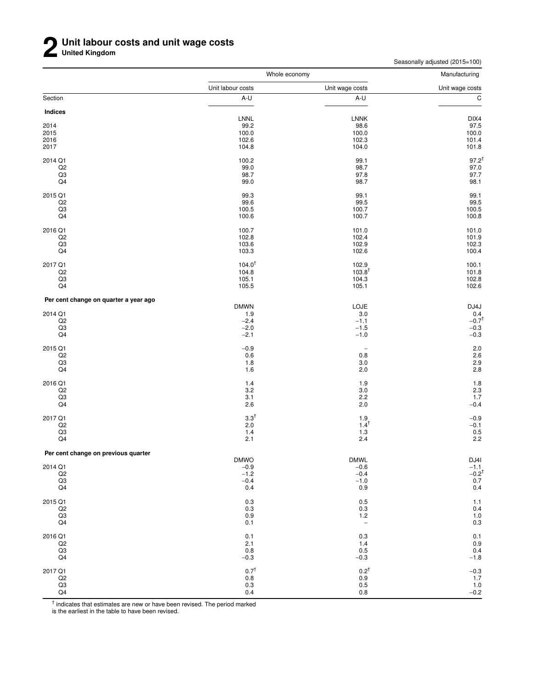Seasonally adjusted (2015=100)

|                                       | Whole economy         |                          | Manufacturing                        |
|---------------------------------------|-----------------------|--------------------------|--------------------------------------|
|                                       | Unit labour costs     | Unit wage costs          | Unit wage costs                      |
| Section                               | A-U                   | A-U                      | $\overline{c}$                       |
| Indices                               |                       |                          |                                      |
|                                       | LNNL                  | <b>LNNK</b>              | DIX4                                 |
| 2014                                  | 99.2                  | 98.6                     | 97.5                                 |
| 2015                                  | 100.0                 | 100.0                    | 100.0                                |
| 2016                                  | 102.6                 | 102.3                    | 101.4                                |
| 2017                                  | 104.8                 | 104.0                    | 101.8                                |
| 2014 Q1                               | 100.2                 | 99.1                     | $97.2^{†}$                           |
| Q2                                    | 99.0                  | 98.7                     | 97.0                                 |
| Q3                                    | 98.7                  | 97.8                     | 97.7                                 |
| Q4                                    | 99.0                  | 98.7                     | 98.1                                 |
| 2015 Q1                               | 99.3                  | 99.1                     | 99.1                                 |
| Q2                                    | 99.6                  | 99.5                     | 99.5                                 |
| $_{\rm Q3}$                           | 100.5                 | 100.7                    | 100.5                                |
| Q4                                    | 100.6                 | 100.7                    | 100.8                                |
|                                       |                       |                          |                                      |
| 2016 Q1                               | 100.7                 | 101.0                    | 101.0                                |
| Q2                                    | 102.8                 | 102.4                    | 101.9                                |
| $_{\rm Q3}$                           | 103.6                 | 102.9                    | 102.3                                |
| Q4                                    | 103.3                 | 102.6                    | 100.4                                |
| 2017 Q1                               | $104.0^{+}$           | 102.9                    | 100.1                                |
| Q2                                    | 104.8                 | $103.8^{\dagger}$        | 101.8                                |
| $_{\rm Q3}$                           | 105.1                 | 104.3                    | 102.8                                |
| Q4                                    | 105.5                 | 105.1                    | 102.6                                |
| Per cent change on quarter a year ago |                       |                          |                                      |
|                                       | <b>DMWN</b>           | LOJE                     | DJ4J                                 |
| 2014 Q1                               | 1.9                   | 3.0                      | $0.4 -0.7$ <sup>t</sup>              |
| $_{\rm Q2}$                           | $-2.4$                | $-1.1$                   |                                      |
| $_{\rm Q3}$                           | $-2.0$                | $-1.5$                   | $-0.3$                               |
| Q4                                    | $-2.1$                | $-1.0$                   | $-0.3$                               |
| 2015 Q1                               | $-0.9$                | $\overline{\phantom{a}}$ | 2.0                                  |
| Q2                                    | 0.6                   | 0.8                      | 2.6                                  |
| Q3                                    | 1.8                   | 3.0                      |                                      |
| Q4                                    | 1.6                   | 2.0                      | $\frac{2.9}{2.8}$                    |
| 2016 Q1                               | 1.4                   | 1.9                      | 1.8                                  |
| Q2                                    | 3.2                   | 3.0                      | 2.3                                  |
| $_{\rm Q3}$                           | 3.1                   | 2.2                      | 1.7                                  |
| Q4                                    | 2.6                   | $2.0\,$                  | $-0.4$                               |
|                                       |                       |                          |                                      |
| 2017 Q1                               | $3.3^{\dagger}$       | 1.9                      | $-0.9$                               |
| Q2                                    | $2.0\,$               | $1.4^{\dagger}$          | $-0.1$                               |
| $_{\rm Q3}$                           | $1.4$                 | $1.3$                    | $0.5$<br>2.2                         |
| Q4                                    | 2.1                   | $2.4\,$                  |                                      |
| Per cent change on previous quarter   |                       |                          |                                      |
| 2014 Q1                               | <b>DMWO</b><br>$-0.9$ | <b>DMWL</b><br>$-0.6$    | DJ4I                                 |
|                                       | $-1.2$                |                          |                                      |
| Q2                                    |                       | $-0.4$                   | $-1.1$<br>$-0.2$ <sup>†</sup><br>0.7 |
| $_{\rm Q3}$<br>Q4                     | $-0.4$<br>0.4         | $-1.0$<br>0.9            | 0.4                                  |
|                                       |                       |                          |                                      |
| 2015 Q1                               | $0.3\,$               | 0.5                      | $1.1$                                |
| Q2                                    | 0.3                   | $0.3\,$                  | 0.4                                  |
| Q3                                    | $0.9\,$               | $1.2$                    | $1.0$<br>0.3                         |
| Q4                                    | 0.1                   | $\overline{\phantom{a}}$ |                                      |
| 2016 Q1                               | 0.1                   | 0.3                      | $0.1$<br>0.9<br>0.4<br>-1.8          |
| Q2                                    | 2.1                   | 1.4                      |                                      |
| Q3                                    | 0.8                   | 0.5                      |                                      |
| Q4                                    | $-0.3$                | $-0.3$                   |                                      |
| 2017 Q1                               | $0.7^{\dagger}$       | $0.2^{\dagger}$          |                                      |
| Q2                                    | $0.8\,$               | 0.9                      | $-0.3$<br>1.7                        |
| Q3                                    | $0.3\,$               | 0.5                      | $1.0 -0.2$                           |
| Q <sub>4</sub>                        | 0.4                   | 0.8                      |                                      |

<sup>†</sup> indicates that estimates are new or have been revised. The period marked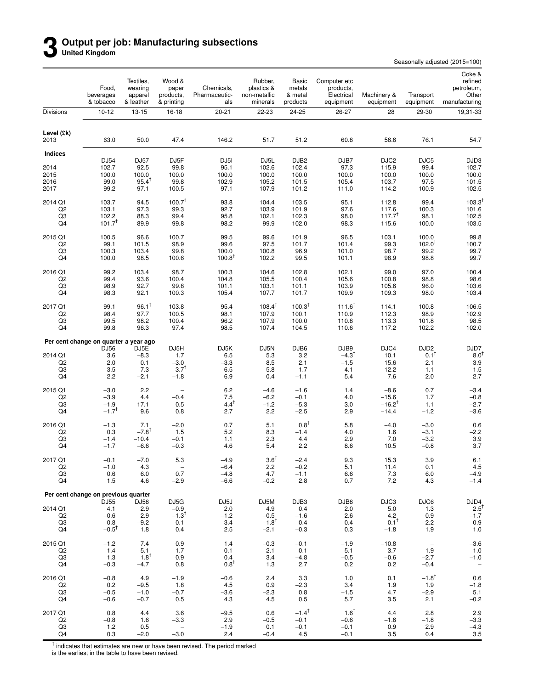### **3 Output per job: Manufacturing subsections United Kingdom**

Seasonally adjusted (2015=100)

|                              | Food,<br>beverages<br>& tobacco                     | Textiles,<br>wearing<br>apparel<br>& leather | Wood &<br>paper<br>products.<br>& printing         | Chemicals,<br>Pharmaceutic-<br>als                  | Rubber,<br>plastics &<br>non-metallic<br>minerals | Basic<br>metals<br>& metal<br>products | Computer etc<br>products,<br>Electrical<br>equipment | Machinery &<br>equipment                | Transport<br>equipment                 | Coke &<br>refined<br>petroleum,<br>Other<br>manufacturing |
|------------------------------|-----------------------------------------------------|----------------------------------------------|----------------------------------------------------|-----------------------------------------------------|---------------------------------------------------|----------------------------------------|------------------------------------------------------|-----------------------------------------|----------------------------------------|-----------------------------------------------------------|
| Divisions                    | $10 - 12$                                           | $13 - 15$                                    | 16-18                                              | $20 - 21$                                           | 22-23                                             | 24-25                                  | 26-27                                                | 28                                      | 29-30                                  | 19,31-33                                                  |
| Level (£k)<br>2013           | 63.0                                                | 50.0                                         | 47.4                                               | 146.2                                               | 51.7                                              | 51.2                                   | 60.8                                                 | 56.6                                    | 76.1                                   | 54.7                                                      |
| Indices                      |                                                     |                                              |                                                    |                                                     |                                                   | DJB <sub>2</sub>                       |                                                      | DJC <sub>2</sub>                        |                                        |                                                           |
| 2014<br>2015<br>2016<br>2017 | DJ54<br>102.7<br>100.0<br>99.0<br>99.2              | DJ57<br>92.5<br>100.0<br>$95.4^{T}$<br>97.1  | DJ <sub>5F</sub><br>99.8<br>100.0<br>99.8<br>100.5 | DJ <sub>5</sub> I<br>95.1<br>100.0<br>102.9<br>97.1 | DJ5L<br>102.6<br>100.0<br>105.2<br>107.9          | 102.4<br>100.0<br>101.5<br>101.2       | DJB7<br>97.3<br>100.0<br>105.4<br>111.0              | 115.9<br>100.0<br>103.7<br>114.2        | DJC5<br>99.4<br>100.0<br>97.5<br>100.9 | DJD3<br>102.7<br>100.0<br>101.5<br>102.5                  |
| 2014 Q1                      | 103.7                                               | 94.5                                         | 100.7 <sup>†</sup>                                 | 93.8                                                | 104.4                                             | 103.5                                  | 95.1                                                 | 112.8                                   | 99.4                                   | 103.3 <sup>1</sup>                                        |
| Q <sub>2</sub>               | 103.1                                               | 97.3                                         | 99.3                                               | 92.7                                                | 103.9                                             | 101.9                                  | 97.6                                                 | 117.6                                   | 100.3                                  | 101.6                                                     |
| Q3                           | 102.2                                               | 88.3                                         | 99.4                                               | 95.8                                                | 102.1                                             | 102.3                                  | 98.0                                                 | $117.7^{\dagger}$                       | 98.1                                   | 102.5                                                     |
| Q4                           | $101.7^{T}$                                         | 89.9                                         | 99.8                                               | 98.2                                                | 99.9                                              | 102.0                                  | 98.3                                                 | 115.6                                   | 100.0                                  | 103.5                                                     |
| 2015 Q1                      | 100.5                                               | 96.6                                         | 100.7                                              | 99.5                                                | 99.6                                              | 101.9                                  | 96.5                                                 | 103.1                                   | 100.0                                  | 99.8                                                      |
| Q <sub>2</sub>               | 99.1                                                | 101.5                                        | 98.9                                               | 99.6                                                | 97.5                                              | 101.7                                  | 101.4                                                | 99.3                                    | 102.0 <sup>†</sup>                     | 100.7                                                     |
| Q3                           | 100.3                                               | 103.4                                        | 99.8                                               | 100.0                                               | 100.8                                             | 96.9                                   | 101.0                                                | 98.7                                    | 99.2                                   | 99.7                                                      |
| Q4                           | 100.0                                               | 98.5                                         | 100.6                                              | $100.8^T$                                           | 102.2                                             | 99.5                                   | 101.1                                                | 98.9                                    | 98.8                                   | 99.7                                                      |
| 2016 Q1                      | 99.2                                                | 103.4                                        | 98.7                                               | 100.3                                               | 104.6                                             | 102.8                                  | 102.1                                                | 99.0                                    | 97.0                                   | 100.4                                                     |
| Q <sub>2</sub>               | 99.4                                                | 93.6                                         | 100.4                                              | 104.8                                               | 105.5                                             | 100.4                                  | 105.6                                                | 100.8                                   | 98.8                                   | 98.6                                                      |
| Q3                           | 98.9                                                | 92.7                                         | 99.8                                               | 101.1                                               | 103.1                                             | 101.1                                  | 103.9                                                | 105.6                                   | 96.0                                   | 103.6                                                     |
| Q4                           | 98.3                                                | 92.1                                         | 100.3                                              | 105.4                                               | 107.7                                             | 101.7                                  | 109.9                                                | 109.3                                   | 98.0                                   | 103.4                                                     |
| 2017 Q1                      | 99.1                                                | $96.1^{\dagger}$                             | 103.8                                              | 95.4                                                | $108.4^{\dagger}$                                 | 100.3 <sup>†</sup>                     | $111.6^{\dagger}$                                    | 114.1                                   | 100.8                                  | 106.5                                                     |
| Q <sub>2</sub>               | 98.4                                                | 97.7                                         | 100.5                                              | 98.1                                                | 107.9                                             | 100.1                                  | 110.9                                                | 112.3                                   | 98.9                                   | 102.9                                                     |
| Q3                           | 99.5                                                | 98.2                                         | 100.4                                              | 96.2                                                | 107.9                                             | 100.0                                  | 110.8                                                | 113.3                                   | 101.8                                  | 98.5                                                      |
| Q4                           | 99.8                                                | 96.3                                         | 97.4                                               | 98.5                                                | 107.4                                             | 104.5                                  | 110.6                                                | 117.2                                   | 102.2                                  | 102.0                                                     |
|                              | Per cent change on quarter a year ago<br>DJ56       | DJ5E                                         | DJ5H                                               | DJ5K                                                | DJ5N                                              | DJB6                                   | DJB9                                                 | DJC4                                    | DJD <sub>2</sub>                       | DJD7                                                      |
| 2014 Q1                      | 3.6                                                 | $-8.3$                                       | 1.7                                                | 6.5                                                 | 5.3                                               | 3.2                                    | $-4.3$ <sup>†</sup>                                  | 10.1                                    | $0.1^{\dagger}$                        | $8.0^{1}$                                                 |
| Q <sub>2</sub>               | 2.0                                                 | 0.1                                          | $-3.0$                                             | $-3.3$                                              | 8.5                                               | 2.1                                    | $-1.5$                                               | 15.6                                    | 2.1                                    | 3.9                                                       |
| Q3                           | 3.5                                                 | $-7.3$                                       | $-3.7^{\dagger}$                                   | 6.5                                                 | 5.8                                               | 1.7                                    | 4.1                                                  | 12.2                                    | $-1.1$                                 | 1.5                                                       |
| Q4                           | 2.2                                                 | $-2.1$                                       | $-1.8$                                             | 6.9                                                 | 0.4                                               | $-1.1$                                 | 5.4                                                  | 7.6                                     | 2.0                                    | 2.7                                                       |
| 2015 Q1                      | $-3.0$                                              | 2.2                                          | $\overline{\phantom{a}}$                           | 6.2                                                 | $-4.6$                                            | $-1.6$                                 | 1.4                                                  | $-8.6$                                  | 0.7                                    | $-3.4$                                                    |
| Q <sub>2</sub>               | $-3.9$                                              | 4.4                                          | $-0.4$                                             | 7.5                                                 | $-6.2$                                            | $-0.1$                                 | 4.0                                                  | $-15.6$                                 | 1.7                                    | $-0.8$                                                    |
| Q3                           | $-1.9$                                              | 17.1                                         | 0.5                                                | $4.4^{\dagger}$                                     | $-1.2$                                            | $-5.3$                                 | 3.0                                                  | $-16.2^\top$                            | 1.1                                    | $-2.7$                                                    |
| Q4                           | $-1.7$ <sup>t</sup>                                 | 9.6                                          | 0.8                                                | 2.7                                                 | 2.2                                               | $-2.5$                                 | 2.9                                                  | $-14.4$                                 | $-1.2$                                 | $-3.6$                                                    |
| 2016 Q1                      | $-1.3$                                              | 7.1                                          | $-2.0$                                             | 0.7                                                 | 5.1                                               | $0.8^{\dagger}$                        | 5.8                                                  | $-4.0$                                  | $-3.0$                                 | 0.6                                                       |
| Q <sub>2</sub>               | 0.3                                                 | $-7.8$ <sup>T</sup>                          | 1.5                                                | 5.2                                                 | 8.3                                               | $-1.4$                                 | 4.0                                                  | 1.6                                     | $-3.1$                                 | $-2.2$                                                    |
| Q3                           | $-1.4$                                              | $-10.4$                                      | $-0.1$                                             | 1.1                                                 | 2.3                                               | 4.4                                    | 2.9                                                  | 7.0                                     | $-3.2$                                 | 3.9                                                       |
| Q4                           | $-1.7$                                              | $-6.6$                                       | $-0.3$                                             | 4.6                                                 | 5.4                                               | 2.2                                    | 8.6                                                  | 10.5                                    | $-0.8$                                 | 3.7                                                       |
| 2017 Q1                      | $-0.1$                                              | $-7.0$                                       | 5.3                                                | -4.9                                                | $3.6^\dagger$                                     | $-2.4$                                 | 9.3                                                  | 15.3                                    | 3.9                                    | 6.1                                                       |
| Q <sub>2</sub>               | $-1.0$                                              | 4.3                                          | $\overline{\phantom{m}}$                           | $-6.4$                                              | 2.2                                               | $-0.2$                                 | 5.1                                                  | 11.4                                    | 0.1                                    | 4.5                                                       |
| Q3                           | 0.6                                                 | 6.0                                          | 0.7                                                | $-4.8$                                              | 4.7                                               | $-1.1$                                 | 6.6                                                  | $7.3$                                   | 6.0                                    | $-4.9$                                                    |
| Q4                           | 1.5                                                 | 4.6                                          | $-2.9$                                             | $-6.6$                                              | $-0.2$                                            | 2.8                                    | 0.7                                                  | 7.2                                     | 4.3                                    | $-1.4$                                                    |
|                              | Per cent change on previous quarter                 |                                              | DJ5G                                               | DJ5J                                                | DJ5M                                              | DJB3                                   | DJB8                                                 | DJC3                                    | DJC6                                   | DJD4                                                      |
| 2014 Q1<br>Q2<br>Q3<br>Q4    | DJ55<br>4.1<br>$-0.6$<br>$-0.8$<br>$-0.5^{\dagger}$ | DJ58<br>2.9<br>2.9<br>$-9.2$<br>1.8          | $-0.9$<br>$-1.3$ <sup>T</sup><br>0.1<br>0.4        | 2.0<br>$-1.2$<br>3.4<br>2.5                         | 4.9<br>$-0.5$<br>$-1.8$ <sup>T</sup><br>$-2.1$    | 0.4<br>$-1.6$<br>0.4<br>$-0.3$         | 2.0<br>2.6<br>0.4<br>0.3                             | 5.0<br>4.2<br>$0.1^{\dagger}$<br>$-1.8$ | 1.3<br>0.9<br>$-2.2$<br>1.9            | $2.5^{\dagger}$<br>$-1.7$<br>0.9<br>1.0                   |
| 2015 Q1                      | $-1.2$                                              | 7.4                                          | 0.9                                                | 1.4                                                 | $-0.3$                                            | $-0.1$                                 | $-1.9$                                               | $-10.8$                                 | $\hspace{0.1mm}-\hspace{0.1mm}$        | $-3.6$                                                    |
| Q <sub>2</sub>               | $-1.4$                                              | 5.1                                          | $-1.7$                                             | 0.1                                                 | $-2.1$                                            | $-0.1$                                 | 5.1                                                  | $-3.7$                                  | 1.9                                    | 1.0                                                       |
| Q3                           | 1.3                                                 | $1.8^T$                                      | 0.9                                                | 0.4                                                 | 3.4                                               | $-4.8$                                 | $-0.5$                                               | $-0.6$                                  | $-2.7$                                 | $-1.0$                                                    |
| Q4                           | $-0.3$                                              | $-4.7$                                       | 0.8                                                | $0.8^{\dagger}$                                     | 1.3                                               | 2.7                                    | 0.2                                                  | 0.2                                     | $-0.4$                                 | $\overline{\phantom{a}}$                                  |
| 2016 Q1                      | $-0.8$                                              | 4.9                                          | $-1.9$                                             | $-0.6$                                              | 2.4                                               | 3.3                                    | 1.0                                                  | 0.1                                     | $-1.8$ <sup>†</sup>                    | 0.6                                                       |
| Q <sub>2</sub>               | 0.2                                                 | $-9.5$                                       | 1.8                                                | 4.5                                                 | 0.9                                               | $-2.3$                                 | 3.4                                                  | 1.9                                     | 1.9                                    | $-1.8$                                                    |
| Q3                           | $-0.5$                                              | $-1.0$                                       | $-0.7$                                             | $-3.6$                                              | $-2.3$                                            | 0.8                                    | $-1.5$                                               | 4.7                                     | $-2.9$                                 | 5.1                                                       |
| Q4                           | $-0.6$                                              | $-0.7$                                       | 0.5                                                | 4.3                                                 | 4.5                                               | 0.5                                    | 5.7                                                  | 3.5                                     | 2.1                                    | $-0.2$                                                    |
| 2017 Q1                      | 0.8                                                 | 4.4                                          | 3.6                                                | $-9.5$                                              | 0.6                                               | $-1.4^{\dagger}$                       | $1.6^{\dagger}$                                      | 4.4                                     | 2.8                                    | 2.9                                                       |
| Q2                           | $-0.8$                                              | 1.6                                          | $-3.3$                                             | 2.9                                                 | $-0.5$                                            | $-0.1$                                 | $-0.6$                                               | $-1.6$                                  | $-1.8$                                 | $-3.3$                                                    |
| Q3                           | 1.2                                                 | 0.5                                          | $\overline{\phantom{a}}$                           | $-1.9$                                              | 0.1                                               | $-0.1$                                 | $-0.1$                                               | 0.9                                     | 2.9                                    | $-4.3$                                                    |
| Q4                           | 0.3                                                 | $-2.0$                                       | $-3.0$                                             | 2.4                                                 | $-0.4$                                            | 4.5                                    | $-0.1$                                               | 3.5                                     | 0.4                                    | 3.5                                                       |

<sup>†</sup> indicates that estimates are new or have been revised. The period marked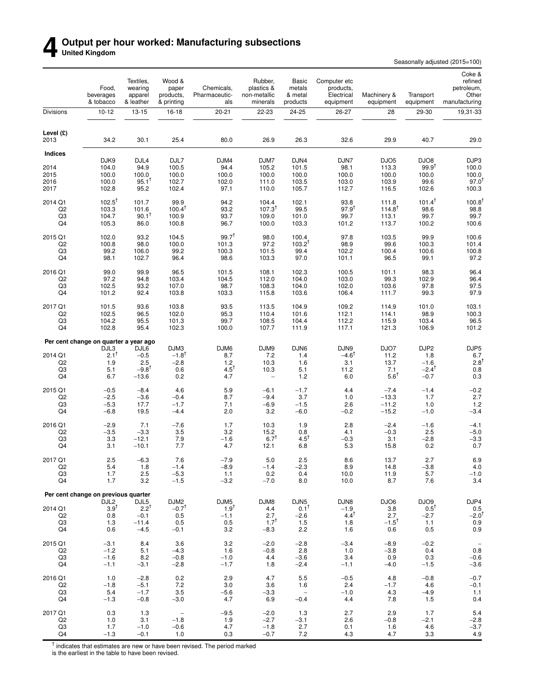### **4** Output per hour worked: Manufacturing subsections<br>United Kingdom **United Kingdom**

Seasonally adjusted (2015=100)

|                                 | Food,<br>beverages<br>& tobacco            | Textiles,<br>wearing<br>apparel<br>& leather | Wood &<br>paper<br>products,<br>& printing | Chemicals,<br>Pharmaceutic-<br>als | Rubber,<br>plastics &<br>non-metallic<br>minerals | Basic<br>metals<br>& metal<br>products | Computer etc<br>products,<br>Electrical<br>equipment | Machinery &<br>equipment           | Transport<br>equipment        | Coke &<br>refined<br>petroleum,<br>Other<br>manufacturing |
|---------------------------------|--------------------------------------------|----------------------------------------------|--------------------------------------------|------------------------------------|---------------------------------------------------|----------------------------------------|------------------------------------------------------|------------------------------------|-------------------------------|-----------------------------------------------------------|
| Divisions                       | $10 - 12$                                  | $13 - 15$                                    | $16-18$                                    | $20 - 21$                          | 22-23                                             | 24-25                                  | 26-27                                                | 28                                 | 29-30                         | 19,31-33                                                  |
| Level (£)<br>2013               | 34.2                                       | 30.1                                         | 25.4                                       | 80.0                               | 26.9                                              | 26.3                                   | 32.6                                                 | 29.9                               | 40.7                          | 29.0                                                      |
| <b>Indices</b>                  |                                            |                                              |                                            |                                    |                                                   |                                        |                                                      |                                    |                               |                                                           |
| 2014<br>2015                    | DJK9<br>104.0<br>100.0                     | DJL4<br>94.9<br>100.0                        | DJL7<br>100.5<br>100.0                     | DJM4<br>94.4<br>100.0              | DJM7<br>105.2<br>100.0                            | DJN4<br>101.5<br>100.0                 | DJN7<br>98.1<br>100.0                                | DJO <sub>5</sub><br>113.3<br>100.0 | DJO8<br>$99.9^{†}$<br>100.0   | DJP3<br>100.0<br>100.0                                    |
| 2016<br>2017                    | 100.0<br>102.8                             | $95.1^T$<br>95.2                             | 102.7<br>102.4                             | 102.0<br>97.1                      | 111.0<br>110.0                                    | 103.5<br>105.7                         | 103.0<br>112.7                                       | 103.9<br>116.5                     | 99.6<br>102.6                 | 97.0<br>100.3                                             |
| 2014 Q1                         | $102.5^{\dagger}$                          | 101.7                                        | 99.9                                       | 94.2                               | 104.4                                             | 102.1                                  | 93.8                                                 | 111.8                              | $101.4^{\dagger}$             | 100.8                                                     |
| Q <sub>2</sub><br>Q3<br>Q4      | 103.3<br>104.7<br>105.3                    | 101.6<br>$90.1^T$                            | $100.4^{T}$<br>100.9                       | 93.2<br>93.7<br>96.7               | $107.3^{T}$<br>109.0<br>100.0                     | 99.5<br>101.0<br>103.3                 | $97.9^{t}$<br>99.7                                   | $114.8^{T}$<br>113.1               | 98.6<br>99.7<br>100.2         | 98.8<br>99.7<br>100.6                                     |
| 2015 Q1                         | 102.0                                      | 86.0<br>93.2                                 | 100.8<br>104.5                             | $99.7^{T}$                         | 98.0                                              | 100.4                                  | 101.2<br>97.8                                        | 113.7<br>103.5                     | 99.9                          | 100.6                                                     |
| Q <sub>2</sub><br>Q3            | 100.8<br>99.2                              | 98.0<br>106.0                                | 100.0<br>99.2                              | 101.3<br>100.3                     | 97.2<br>101.5                                     | $103.2^{T}$<br>99.4                    | 98.9<br>102.2                                        | 99.6<br>100.4                      | 100.3<br>100.6                | 101.4<br>100.8                                            |
| Q4                              | 98.1                                       | 102.7                                        | 96.4                                       | 98.6                               | 103.3                                             | 97.0                                   | 101.1                                                | 96.5                               | 99.1                          | 97.2                                                      |
| 2016 Q1<br>Q <sub>2</sub>       | 99.0<br>97.2                               | 99.9<br>94.8                                 | 96.5<br>103.4                              | 101.5<br>104.5                     | 108.1<br>112.0                                    | 102.3<br>104.0                         | 100.5<br>103.0                                       | 101.1<br>99.3                      | 98.3<br>102.9                 | 96.4<br>96.4                                              |
| Q3<br>Q4                        | 102.5<br>101.2                             | 93.2<br>92.4                                 | 107.0<br>103.8                             | 98.7<br>103.3                      | 108.3<br>115.8                                    | 104.0<br>103.6                         | 102.0<br>106.4                                       | 103.6<br>111.7                     | 97.8<br>99.3                  | 97.5<br>97.9                                              |
| 2017 Q1                         | 101.5                                      | 93.6                                         | 103.8                                      | 93.5                               | 113.5                                             | 104.9                                  | 109.2                                                | 114.9                              | 101.0                         | 103.1                                                     |
| Q <sub>2</sub><br>Q3<br>Q4      | 102.5<br>104.2<br>102.8                    | 96.5<br>95.5<br>95.4                         | 102.0<br>101.3<br>102.3                    | 95.3<br>99.7<br>100.0              | 110.4<br>108.5<br>107.7                           | 101.6<br>104.4<br>111.9                | 112.1<br>112.2<br>117.1                              | 114.1<br>115.9<br>121.3            | 98.9<br>103.4<br>106.9        | 100.3<br>96.5<br>101.2                                    |
|                                 | Per cent change on quarter a year ago      |                                              |                                            |                                    |                                                   |                                        |                                                      |                                    |                               |                                                           |
| 2014 Q1                         | DJL3<br>$2.1^{\dagger}$                    | DJL6<br>$-0.5$                               | DJM3<br>$-1.8$ <sup>†</sup>                | DJM6<br>8.7                        | DJM9<br>7.2                                       | DJN6<br>1.4                            | DJN9<br>$-4.6^{\dagger}$                             | DJO7<br>11.2                       | DJP2<br>1.8                   | DJP5<br>$6.7$<br>$2.8^{\dagger}$                          |
| Q <sub>2</sub><br>Q3            | 1.9<br>5.1                                 | 2.5<br>$-9.8$ <sup>†</sup>                   | $-2.8$<br>0.6                              | 1.2<br>$4.5^{\dagger}$             | 10.3<br>10.3                                      | 1.6<br>5.1                             | 3.1<br>11.2                                          | 13.7<br>7.1                        | $-1.6$<br>$-2.4^{\mathsf{T}}$ | 0.8                                                       |
| Q4                              | 6.7                                        | $-13.6$                                      | 0.2                                        | 4.7                                | $\overline{\phantom{0}}$                          | 1.2                                    | 6.0                                                  | $5.6^T$                            | $-0.7$                        | 0.3                                                       |
| 2015 Q1<br>Q <sub>2</sub><br>Q3 | $-0.5$<br>$-2.5$<br>$-5.3$                 | $-8.4$<br>$-3.6$                             | 4.6<br>$-0.4$<br>$-1.7$                    | 5.9<br>8.7<br>7.1                  | $-6.1$<br>$-9.4$                                  | $-1.7$<br>3.7<br>$-1.5$                | 4.4<br>1.0<br>2.6                                    | $-7.4$<br>$-13.3$<br>$-11.2$       | $-1.4$<br>1.7<br>1.0          | $-0.2$<br>2.7<br>1.2                                      |
| Q4                              | $-6.8$                                     | 17.7<br>19.5                                 | $-4.4$                                     | 2.0                                | $-6.9$<br>3.2                                     | $-6.0$                                 | $-0.2$                                               | $-15.2$                            | $-1.0$                        | $-3.4$                                                    |
| 2016 Q1<br>Q2                   | $-2.9$<br>$-3.5$                           | 7.1<br>$-3.3$                                | $-7.6$<br>3.5                              | 1.7<br>3.2                         | 10.3<br>15.2                                      | 1.9<br>0.8                             | 2.8<br>4.1                                           | $-2.4$<br>$-0.3$                   | $-1.6$<br>2.5                 | $-4.1$<br>$-5.0$                                          |
| Q3<br>Q4                        | 3.3<br>3.1                                 | $-12.1$<br>$-10.1$                           | 7.9<br>7.7                                 | $-1.6$<br>4.7                      | $6.7^{\dagger}$<br>12.1                           | $4.5^{\dagger}$<br>6.8                 | $-0.3$<br>5.3                                        | 3.1<br>15.8                        | $-2.8$<br>0.2                 | $-3.3$<br>0.7                                             |
| 2017 Q1                         | $2.5\,$                                    | $-6.3$                                       | 7.6                                        | $-7.9$                             | $5.0\,$                                           | 2.5                                    | 8.6                                                  | 13.7                               | 2.7                           | 6.9                                                       |
| Q <sub>2</sub><br>Q3            | 5.4<br>1.7                                 | 1.8<br>2.5                                   | $-1.4$<br>$-5.3$                           | $-8.9$<br>1.1                      | $-1.4$<br>0.2                                     | $-2.3$<br>0.4                          | 8.9<br>10.0                                          | 14.8<br>11.9                       | $-3.8$<br>5.7                 | 4.0<br>$-1.0$                                             |
| Q4                              | 1.7<br>Per cent change on previous quarter | 3.2                                          | $-1.5$                                     | $-3.2$                             | $-7.0$                                            | 8.0                                    | 10.0                                                 | 8.7                                | 7.6                           | 3.4                                                       |
| 2014 Q1                         | DJL <sub>2</sub><br>$3.9^{\top}$           | DJL5<br>$2.2^{T}$                            | DJM <sub>2</sub><br>$-0.7$ <sup>T</sup>    | DJM5<br>$1.9^{T}$                  | DJM8<br>4.4                                       | DJN <sub>5</sub><br>$0.1^T$            | DJN8<br>$-1.9$                                       | DJO6<br>3.8                        | DJO9<br>$0.5^T$               | DJP4                                                      |
| Q <sub>2</sub><br>Q3            | 0.8<br>1.3                                 | $-0.1$<br>$-11.4$                            | 0.5<br>0.5                                 | $-1.1$<br>0.5                      | 2.7<br>$1.7^{T}$                                  | $-2.6$<br>1.5                          | $4.4^{\dagger}$<br>1.8                               | 2.7<br>$-1.5$ <sup>†</sup>         | $-2.7$<br>1.1                 | $0.5 - 2.0^{\dagger}$<br>0.9                              |
| Q4                              | 0.6                                        | $-4.5$                                       | $-0.1$                                     | 3.2                                | $-8.3$                                            | 2.2                                    | 1.6                                                  | 0.6                                | 0.5                           | 0.9                                                       |
| 2015 Q1<br>Q <sub>2</sub>       | $-3.1$<br>$-1.2$                           | 8.4<br>5.1                                   | 3.6<br>$-4.3$                              | 3.2<br>1.6                         | $-2.0$<br>$-0.8$                                  | $-2.8$<br>2.8                          | $-3.4$<br>1.0                                        | $-8.9$<br>$-3.8$                   | $-0.2$<br>0.4                 | $\hspace{0.1mm}-\hspace{0.1mm}$<br>0.8                    |
| Q3<br>Q4                        | $-1.6$<br>$-1.1$                           | 8.2<br>$-3.1$                                | $-0.8$<br>$-2.8$                           | $-1.0$<br>$-1.7$                   | 4.4<br>1.8                                        | $-3.6$<br>$-2.4$                       | 3.4<br>$-1.1$                                        | 0.9<br>$-4.0$                      | 0.3<br>$-1.5$                 | $-0.6$<br>$-3.6$                                          |
| 2016 Q1<br>Q <sub>2</sub>       | 1.0<br>$-1.8$                              | $-2.8$<br>$-5.1$                             | 0.2<br>7.2                                 | 2.9<br>3.0                         | 4.7<br>3.6                                        | 5.5<br>1.6                             | $-0.5$<br>2.4                                        | 4.8<br>$-1.7$                      | $-0.8$<br>4.6                 | $-0.7$<br>$-0.1$                                          |
| Q3<br>Q4                        | 5.4<br>$-1.3$                              | $-1.7$<br>$-0.8$                             | 3.5<br>$-3.0$                              | $-5.6$<br>4.7                      | $-3.3$<br>6.9                                     | $\overline{\phantom{a}}$<br>$-0.4$     | $-1.0$<br>4.4                                        | 4.3<br>7.8                         | $-4.9$<br>1.5                 | 1.1<br>0.4                                                |
| 2017 Q1                         | 0.3                                        | 1.3                                          | $\overline{\phantom{a}}$                   | $-9.5$                             | $-2.0$                                            | 1.3                                    | 2.7                                                  | 2.9                                | 1.7                           | $5.4\,$                                                   |
| Q <sub>2</sub><br>Q3<br>Q4      | 1.0<br>1.7<br>$-1.3$                       | 3.1<br>$-1.0$<br>$-0.1$                      | $-1.8$<br>$-0.6$<br>1.0                    | 1.9<br>4.7<br>0.3                  | $-2.7$<br>$-1.8$<br>$-0.7$                        | $-3.1$<br>2.7<br>7.2                   | 2.6<br>0.1<br>4.3                                    | $-0.8$<br>1.6<br>4.7               | $-2.1$<br>4.6<br>3.3          | $-2.8$<br>$-3.7$<br>4.9                                   |

<sup>†</sup> indicates that estimates are new or have been revised. The period marked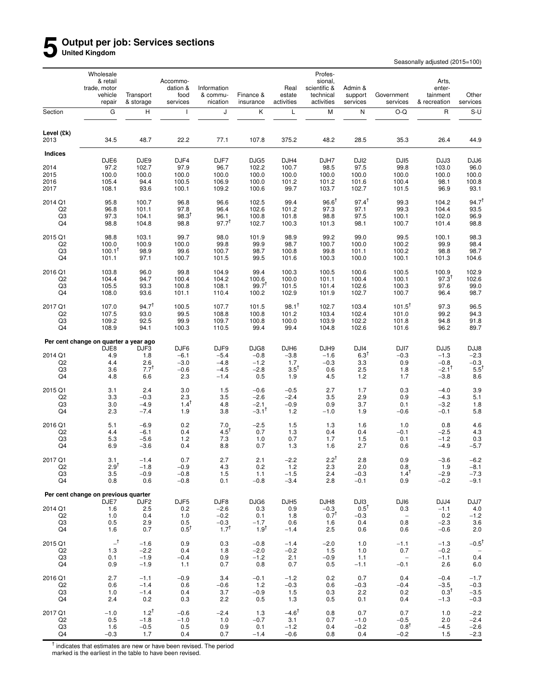### **5 Output per job: Services sections United Kingdom**

Seasonally adjusted (2015=100)

|                           | Wholesale<br>& retail<br>trade, motor<br>vehicle<br>repair | Transport<br>& storage | Accommo-<br>dation &<br>food<br>services | Information<br>& commu-<br>nication | Finance &<br>insurance | Real<br>estate<br>activities | Profes-<br>sional,<br>scientific &<br>technical<br>activities | Admin &<br>support<br>services | Government<br>services                 | Arts,<br>enter-<br>tainment<br>& recreation | Other<br>services         |
|---------------------------|------------------------------------------------------------|------------------------|------------------------------------------|-------------------------------------|------------------------|------------------------------|---------------------------------------------------------------|--------------------------------|----------------------------------------|---------------------------------------------|---------------------------|
| Section                   | ${\bf G}$                                                  | н                      | $\mathbf{I}$                             | J                                   | Κ                      | L                            | M                                                             | N                              | $O-Q$                                  | $\mathsf{R}$                                | $S-U$                     |
| Level (£k)<br>2013        | 34.5                                                       | 48.7                   | 22.2                                     | 77.1                                | 107.8                  | 375.2                        | 48.2                                                          | 28.5                           | 35.3                                   | 26.4                                        | 44.9                      |
| Indices                   |                                                            |                        |                                          |                                     |                        |                              |                                                               |                                |                                        |                                             |                           |
|                           | DJE6                                                       | DJE9                   | DJF4                                     | DJF7                                | DJG5                   | DJH4                         | DJH7                                                          | DJ <sub>12</sub>               | DJI <sub>5</sub>                       | DJJ3                                        | DJJ6                      |
| 2014<br>2015              | 97.2<br>100.0                                              | 102.7<br>100.0         | 97.9<br>100.0                            | 96.7<br>100.0                       | 102.2<br>100.0         | 100.7<br>100.0               | 98.5<br>100.0                                                 | 97.5<br>100.0                  | 99.8<br>100.0                          | 103.0<br>100.0                              | 96.0<br>100.0             |
| 2016                      | 105.4                                                      | 94.4                   | 100.5                                    | 106.9                               | 100.0                  | 101.2                        | 101.2                                                         | 101.6                          | 100.4                                  | 98.1                                        | 100.8                     |
| 2017                      | 108.1                                                      | 93.6                   | 100.1                                    | 109.2                               | 100.6                  | 99.7                         | 103.7                                                         | 102.7                          | 101.5                                  | 96.9                                        | 93.1                      |
| 2014 Q1                   | 95.8                                                       | 100.7                  | 96.8                                     | 96.6                                | 102.5                  | 99.4                         | $96.6^{\dagger}$                                              | $97.4^{\dagger}$               | 99.3                                   | 104.2                                       | $94.7^{\dagger}$          |
| Q <sub>2</sub>            | 96.8                                                       | 101.1                  | 97.8                                     | 96.4                                | 102.6                  | 101.2                        | 97.3                                                          | 97.1                           | 99.3                                   | 104.4                                       | 93.5                      |
| Q3                        | 97.3                                                       | 104.1                  | $98.3^{T}$                               | 96.1                                | 100.8                  | 101.8                        | 98.8                                                          | 97.5                           | 100.1                                  | 102.0                                       | 96.9                      |
| Q4                        | 98.8                                                       | 104.8                  | 98.8                                     | $97.7^{t}$                          | 102.7                  | 100.3                        | 101.3                                                         | 98.1                           | 100.7                                  | 101.4                                       | 98.8                      |
| 2015 Q1                   | 98.8                                                       | 103.1                  | 99.7                                     | 98.0                                | 101.9                  | 98.9                         | 99.2                                                          | 99.0                           | 99.5                                   | 100.1                                       | 98.3                      |
| Q <sub>2</sub><br>Q3      | 100.0<br>$100.1^{\dagger}$                                 | 100.9<br>98.9          | 100.0<br>99.6                            | 99.8<br>100.7                       | 99.9<br>98.7           | 98.7<br>100.8                | 100.7<br>99.8                                                 | 100.0<br>101.1                 | 100.2<br>100.2                         | 99.9<br>98.8                                | 98.4<br>98.7              |
| Q4                        | 101.1                                                      | 97.1                   | 100.7                                    | 101.5                               | 99.5                   | 101.6                        | 100.3                                                         | 100.0                          | 100.1                                  | 101.3                                       | 104.6                     |
| 2016 Q1                   | 103.8                                                      | 96.0                   | 99.8                                     | 104.9                               | 99.4                   | 100.3                        | 100.5                                                         | 100.6                          | 100.5                                  | 100.9                                       | 102.9                     |
| Q <sub>2</sub>            | 104.4                                                      | 94.7                   | 100.4                                    | 104.2                               | 100.6                  | 100.0                        | 101.1                                                         | 100.4                          | 100.1                                  | $97.3^{T}$                                  | 102.6                     |
| Q3                        | 105.5                                                      | 93.3                   | 100.8                                    | 108.1                               | $99.7^{\dagger}$       | 101.5                        | 101.4                                                         | 102.6                          | 100.3                                  | 97.6                                        | 99.0                      |
| Q4                        | 108.0                                                      | 93.6                   | 101.1                                    | 110.4                               | 100.2                  | 102.9                        | 101.9                                                         | 102.7                          | 100.7                                  | 96.4                                        | 98.7                      |
| 2017 Q1                   | 107.0                                                      | 94.7 <sup>†</sup>      | 100.5                                    | 107.7                               | 101.5                  | $98.1^{\dagger}$             | 102.7                                                         | 103.4                          | $101.5^{\dagger}$                      | 97.3                                        | 96.5                      |
| Q <sub>2</sub>            | 107.5                                                      | 93.0                   | 99.5                                     | 108.8                               | 100.8                  | 101.2                        | 103.4                                                         | 102.4                          | 101.0                                  | 99.2                                        | 94.3                      |
| Q3<br>Q4                  | 109.2<br>108.9                                             | 92.5<br>94.1           | 99.9<br>100.3                            | 109.7<br>110.5                      | 100.8<br>99.4          | 100.0<br>99.4                | 103.9<br>104.8                                                | 102.2<br>102.6                 | 101.8<br>101.6                         | 94.8<br>96.2                                | 91.8<br>89.7              |
|                           | Per cent change on quarter a year ago                      |                        |                                          |                                     |                        |                              |                                                               |                                |                                        |                                             |                           |
|                           | DJE8                                                       | DJF3                   | DJF6                                     | DJF9                                | DJG8                   | DJH6                         | DJH9                                                          | DJI4                           | DJI7                                   | DJJ5                                        | DJJ8                      |
| 2014 Q1                   | 4.9                                                        | 1.8                    | $-6.1$                                   | $-5.4$                              | $-0.8$                 | $-3.8$                       | $-1.6$                                                        | $6.3^{1}$                      | $-0.3$                                 | $-1.3$                                      | $-2.3$                    |
| Q <sub>2</sub>            | 4.4                                                        | 2.6<br>$7.7^{\dagger}$ | $-3.0$                                   | $-4.8$                              | $-1.2$                 | 1.7<br>$3.5^{\dagger}$       | $-0.3$                                                        | 3.3                            | 0.9                                    | $-0.8$<br>$-2.1$ <sup>†</sup>               | $-0.3$<br>$5.5^{\dagger}$ |
| Q3<br>Q4                  | 3.6<br>4.8                                                 | 6.6                    | $-0.6$<br>2.3                            | $-4.5$<br>$-1.4$                    | $-2.8$<br>0.5          | 1.9                          | 0.6<br>4.5                                                    | 2.5<br>1.2                     | 1.8<br>1.7                             | $-3.8$                                      | 8.6                       |
|                           |                                                            |                        |                                          |                                     |                        |                              |                                                               |                                |                                        |                                             |                           |
| 2015 Q1                   | 3.1                                                        | 2.4                    | 3.0                                      | 1.5                                 | $-0.6$                 | $-0.5$                       | 2.7                                                           | 1.7                            | 0.3                                    | $-4.0$                                      | 3.9                       |
| Q <sub>2</sub><br>Q3      | 3.3<br>3.0                                                 | $-0.3$<br>$-4.9$       | 2.3<br>$1.4^{\dagger}$                   | 3.5<br>4.8                          | $-2.6$<br>$-2.1$       | $-2.4$<br>$-0.9$             | 3.5<br>0.9                                                    | 2.9<br>3.7                     | 0.9<br>0.1                             | $-4.3$<br>$-3.2$                            | 5.1<br>1.8                |
| Q4                        | 2.3                                                        | $-7.4$                 | 1.9                                      | 3.8                                 | $-3.1^{\dagger}$       | 1.2                          | $-1.0$                                                        | 1.9                            | $-0.6$                                 | $-0.1$                                      | 5.8                       |
| 2016 Q1                   | 5.1                                                        | $-6.9$                 | 0.2                                      | 7.0                                 | $-2.5$                 | 1.5                          | 1.3                                                           | 1.6                            | 1.0                                    | 0.8                                         | 4.6                       |
| Q <sub>2</sub>            | 4.4                                                        | $-6.1$                 | 0.4                                      | $4.5^{\dagger}$                     | 0.7                    | 1.3                          | 0.4                                                           | 0.4                            | $-0.1$                                 | $-2.5$                                      | 4.3                       |
| Q <sub>3</sub>            | 5.3                                                        | $-5.6$                 | 1.2                                      | 7.3                                 | 1.0                    | 0.7                          | 1.7                                                           | 1.5                            | 0.1                                    | $-1.2$                                      | 0.3                       |
| Q4                        | 6.9                                                        | $-3.6$                 | 0.4                                      | 8.8                                 | 0.7                    | 1.3                          | 1.6                                                           | 2.7                            | 0.6                                    | $-4.9$                                      | $-5.7$                    |
| 2017 Q1                   | 3.1                                                        | $-1.4$                 | 0.7                                      | 2.7                                 | 2.1                    | $-2.2$                       | $2.2^\dagger$                                                 | 2.8                            | 0.9                                    | $-3.6$                                      | $-6.2$                    |
| Q <sub>2</sub><br>Q3      | $2.9^{T}$<br>3.5                                           | $-1.8$<br>$-0.9$       | $-0.9$                                   | 4.3                                 | 0.2                    | 1.2<br>$-1.5$                | 2.3<br>2.4                                                    | 2.0<br>$-0.3$                  | 0.8<br>$1.4^{\dagger}$                 | 1.9<br>$-2.9$                               | $-8.1$<br>$-7.3$          |
| Q4                        | 0.8                                                        | 0.6                    | $-0.8$<br>$-0.8$                         | 1.5<br>0.1                          | 1.1<br>$-0.8$          | $-3.4$                       | 2.8                                                           | $-0.1$                         | 0.9                                    | $-0.2$                                      | $-9.1$                    |
|                           | Per cent change on previous quarter                        |                        |                                          |                                     |                        |                              |                                                               |                                |                                        |                                             |                           |
|                           | DJE7                                                       | DJF <sub>2</sub>       | DJF <sub>5</sub>                         | DJF8                                | DJG6                   | DJH <sub>5</sub>             | DJH8                                                          | DJ <sub>13</sub>               | DJI6                                   | DJJ4                                        | DJJ7                      |
| 2014 Q1                   | 1.6                                                        | 2.5                    | 0.2                                      | $-2.6$                              | 0.3                    | 0.9                          | $-0.3$                                                        | $0.5^{\dagger}$                | 0.3                                    | $-1.1$                                      | $4.0$                     |
| Q <sub>2</sub><br>Q3      | 1.0<br>0.5                                                 | 0.4<br>2.9             | 1.0<br>0.5                               | $-0.2$<br>$-0.3$                    | 0.1<br>$-1.7$          | 1.8<br>0.6                   | $0.7^{T}$<br>1.6                                              | $-0.3$<br>0.4                  | $\hspace{0.1mm}-\hspace{0.1mm}$<br>0.8 | 0.2<br>$-2.3$                               | $-1.2$<br>3.6             |
| Q4                        | 1.6                                                        | 0.7                    | $0.5^T$                                  | $1.7^{T}$                           | $1.9^{T}$              | $-1.4$                       | 2.5                                                           | 0.6                            | 0.6                                    | $-0.6$                                      | 2.0                       |
| 2015 Q1                   | $-$ <sup>†</sup>                                           | $-1.6$                 | 0.9                                      | 0.3                                 | $-0.8$                 | $-1.4$                       | $-2.0$                                                        | 1.0                            | $-1.1$                                 | $-1.3$                                      | $-0.5^{\dagger}$          |
| Q <sub>2</sub>            | 1.3                                                        | $-2.2$                 | 0.4                                      | 1.8                                 | $-2.0$                 | $-0.2$                       | 1.5                                                           | 1.0                            | 0.7                                    | $-0.2$                                      |                           |
| Q3                        | 0.1                                                        | $-1.9$                 | $-0.4$                                   | 0.9                                 | $-1.2$                 | 2.1                          | $-0.9$                                                        | 1.1                            | $\hspace{0.1mm}-\hspace{0.1mm}$        | $-1.1$                                      | 0.4                       |
| Q4                        | 0.9                                                        | $-1.9$                 | 1.1                                      | 0.7                                 | 0.8                    | 0.7                          | 0.5                                                           | $-1.1$                         | $-0.1$                                 | 2.6                                         | 6.0                       |
| 2016 Q1                   | 2.7                                                        | $-1.1$                 | $-0.9$                                   | 3.4                                 | $-0.1$                 | $-1.2$                       | 0.2                                                           | 0.7                            | 0.4                                    | $-0.4$                                      | $-1.7$                    |
| Q <sub>2</sub>            | 0.6                                                        | $-1.4$                 | 0.6                                      | $-0.6$                              | 1.2                    | $-0.3$                       | 0.6                                                           | $-0.3$                         | $-0.4$                                 | $-3.5$                                      | $-0.3$                    |
| Q3<br>Q4                  | 1.0<br>2.4                                                 | $-1.4$<br>0.2          | 0.4<br>0.3                               | 3.7<br>2.2                          | $-0.9$<br>0.5          | 1.5<br>1.3                   | 0.3<br>0.5                                                    | 2.2<br>0.1                     | 0.2<br>0.4                             | $0.3^{\dagger}$<br>$-1.3$                   | $-3.5$<br>$-0.3$          |
|                           |                                                            |                        |                                          |                                     |                        |                              |                                                               |                                |                                        |                                             |                           |
| 2017 Q1<br>Q <sub>2</sub> | $-1.0$<br>0.5                                              | $1.2^{+}$<br>$-1.8$    | $-0.6$<br>$-1.0$                         | $-2.4$<br>1.0                       | 1.3<br>$-0.7$          | $-4.6^{\dagger}$<br>3.1      | 0.8<br>0.7                                                    | 0.7<br>$-1.0$                  | 0.7<br>$-0.5$                          | 1.0<br>2.0                                  | $-2.2$<br>$-2.4$          |
| Q3                        | 1.6                                                        | $-0.5$                 | 0.5                                      | 0.9                                 | 0.1                    | $-1.2$                       | 0.4                                                           | $-0.2$                         | $0.8^T$                                | $-4.5$                                      | $-2.6$                    |
| Q4                        | $-0.3$                                                     | 1.7                    | 0.4                                      | 0.7                                 | $-1.4$                 | $-0.6$                       | 0.8                                                           | 0.4                            | $-0.2$                                 | 1.5                                         | $-2.3$                    |

† indicates that estimates are new or have been revised. The period marked is the earliest in the table to have been revised.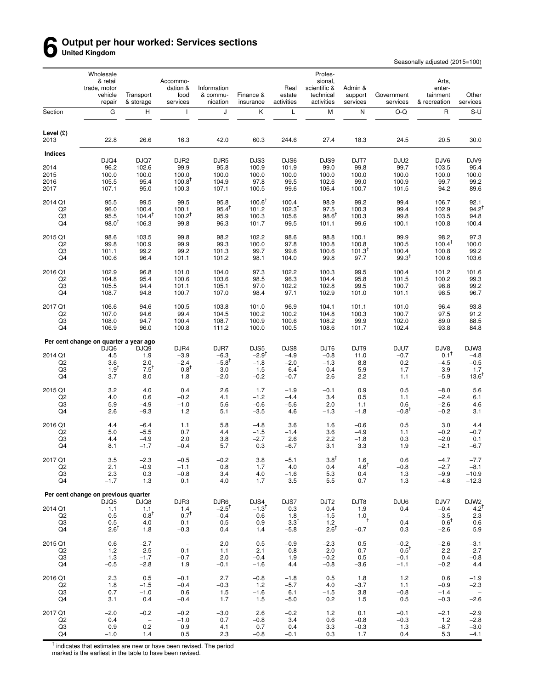### **6 Output per hour worked: Services sections United Kingdom**

Seasonally adjusted (2015=100)

|                           | Wholesale<br>& retail<br>trade, motor<br>vehicle<br>repair | Transport<br>& storage             | Accommo-<br>dation &<br>food<br>services | Information<br>& commu-<br>nication | Finance &<br>insurance      | Real<br>estate<br>activities | Profes-<br>sional,<br>scientific &<br>technical<br>activities | Admin &<br>support<br>services | Government<br>services   | Arts,<br>enter-<br>tainment<br>& recreation | Other<br>services             |
|---------------------------|------------------------------------------------------------|------------------------------------|------------------------------------------|-------------------------------------|-----------------------------|------------------------------|---------------------------------------------------------------|--------------------------------|--------------------------|---------------------------------------------|-------------------------------|
| Section                   | ${\bf G}$                                                  | н                                  | $\mathbf{I}$                             | J                                   | Κ                           | L                            | M                                                             | N                              | $O-Q$                    | $\mathsf{R}$                                | $S-U$                         |
| Level $(E)$<br>2013       | 22.8                                                       | 26.6                               | 16.3                                     | 42.0                                | 60.3                        | 244.6                        | 27.4                                                          | 18.3                           | 24.5                     | 20.5                                        | 30.0                          |
| <b>Indices</b>            |                                                            |                                    |                                          |                                     |                             |                              |                                                               |                                |                          |                                             |                               |
|                           | DJQ4                                                       | DJQ7                               | DJR <sub>2</sub>                         | DJR <sub>5</sub>                    | DJS3                        | DJS6                         | DJS9                                                          | DJT7                           | DJU2                     | DJV6                                        | DJV9                          |
| 2014<br>2015              | 96.2                                                       | 102.6<br>100.0                     | 99.9                                     | 95.8<br>100.0                       | 100.9<br>100.0              | 101.9<br>100.0               | 99.0                                                          | 99.8<br>100.0                  | 99.7                     | 103.5                                       | 95.4                          |
| 2016                      | 100.0<br>105.5                                             | 95.4                               | 100.0<br>$100.8^{\dagger}$               | 104.9                               | 97.8                        | 99.5                         | 100.0<br>102.6                                                | 99.0                           | 100.0<br>100.9           | 100.0<br>99.7                               | 100.0<br>99.2                 |
| 2017                      | 107.1                                                      | 95.0                               | 100.3                                    | 107.1                               | 100.5                       | 99.6                         | 106.4                                                         | 100.7                          | 101.5                    | 94.2                                        | 89.6                          |
| 2014 Q1                   | 95.5                                                       | 99.5                               | 99.5                                     | 95.8                                | $100.6^{\dagger}$           | 100.4                        | 98.9                                                          | 99.2                           | 99.4                     | 106.7                                       | 92.1                          |
| Q <sub>2</sub>            | 96.0                                                       | 100.4                              | 100.1                                    | $95.4^{T}$                          | 101.2                       | $102.3^{T}$                  | 97.5                                                          | 100.3                          | 99.4                     | 102.9                                       | 94.2                          |
| Q3                        | 95.5                                                       | $104.4^T$                          | $100.2^{T}$                              | 95.9                                | 100.3                       | 105.6                        | $98.6^{\text{T}}$                                             | 100.3                          | 99.8                     | 103.5                                       | 94.8                          |
| Q4                        | $98.0^{1}$                                                 | 106.3                              | 99.8                                     | 96.3                                | 101.7                       | 99.5                         | 101.1                                                         | 99.6                           | 100.1                    | 100.8                                       | 100.4                         |
| 2015 Q1                   | 98.6                                                       | 103.5                              | 99.8                                     | 98.2                                | 102.2                       | 98.6                         | 98.8                                                          | 100.1                          | 99.9                     | 98.2                                        | 97.3                          |
| Q <sub>2</sub>            | 99.8                                                       | 100.9                              | 99.9                                     | 99.3                                | 100.0                       | 97.8                         | 100.8                                                         | 100.8                          | 100.5                    | $100.4^T$                                   | 100.0                         |
| Q3                        | 101.1                                                      | 99.2                               | 99.2                                     | 101.3                               | 99.7                        | 99.6                         | 100.6                                                         | $101.3^{T}$                    | 100.4                    | 100.8                                       | 99.2                          |
| Q4                        | 100.6                                                      | 96.4                               | 101.1                                    | 101.2                               | 98.1                        | 104.0                        | 99.8                                                          | 97.7                           | $99.3$ <sup>T</sup>      | 100.6                                       | 103.6                         |
| 2016 Q1                   | 102.9                                                      | 96.8                               | 101.0                                    | 104.0                               | 97.3                        | 102.2                        | 100.3                                                         | 99.5                           | 100.4                    | 101.2                                       | 101.6                         |
| Q <sub>2</sub>            | 104.8                                                      | 95.4                               | 100.6                                    | 103.6                               | 98.5                        | 96.3                         | 104.4                                                         | 95.8                           | 101.5                    | 100.2                                       | 99.3                          |
| Q3<br>Q4                  | 105.5<br>108.7                                             | 94.4<br>94.8                       | 101.1<br>100.7                           | 105.1<br>107.0                      | 97.0<br>98.4                | 102.2<br>97.1                | 102.8<br>102.9                                                | 99.5<br>101.0                  | 100.7<br>101.1           | 98.8<br>98.5                                | 99.2<br>96.7                  |
|                           |                                                            |                                    |                                          |                                     |                             |                              |                                                               |                                |                          |                                             |                               |
| 2017 Q1                   | 106.6                                                      | 94.6                               | 100.5                                    | 103.8                               | 101.0                       | 96.9                         | 104.1                                                         | 101.1                          | 101.0                    | 96.4                                        | 93.8                          |
| Q <sub>2</sub><br>Q3      | 107.0<br>108.0                                             | 94.6<br>94.7                       | 99.4<br>100.4                            | 104.5<br>108.7                      | 100.2<br>100.9              | 100.2<br>100.6               | 104.8<br>108.2                                                | 100.3<br>99.9                  | 100.7<br>102.0           | 97.5<br>89.0                                | 91.2<br>88.5                  |
| Q4                        | 106.9                                                      | 96.0                               | 100.8                                    | 111.2                               | 100.0                       | 100.5                        | 108.6                                                         | 101.7                          | 102.4                    | 93.8                                        | 84.8                          |
|                           | Per cent change on quarter a year ago                      |                                    |                                          |                                     |                             |                              |                                                               |                                |                          |                                             |                               |
|                           | DJQ6                                                       | DJQ9                               | DJR4                                     | DJR7                                | DJS5                        | DJS8                         | DJT6                                                          | DJT9                           | DJU7                     | DJV8                                        | DJW3                          |
| 2014 Q1                   | 4.5                                                        | 1.9                                | $-3.9$                                   | $-6.3$                              | $-2.9$ <sup>†</sup>         | $-4.9$                       | $-0.8$                                                        | 11.0                           | $-0.7$                   | $0.1^{\dagger}$                             | $-4.8$                        |
| Q <sub>2</sub>            | 3.6                                                        | 2.0                                | $-2.4$                                   | $-5.8$ <sup>T</sup>                 | $-1.8$                      | $-2.0$                       | $-1.3$                                                        | 8.8                            | 0.2                      | $-4.5$                                      | $-0.5$                        |
| Q3<br>Q4                  | $1.9^{1}$<br>3.7                                           | $7.5^{\dagger}$<br>8.0             | $0.8^{\dagger}$<br>1.8                   | $-3.0$<br>$-2.0$                    | $-1.5$<br>$-0.2$            | $6.4$ <sup>T</sup><br>$-0.7$ | $-0.4$<br>2.6                                                 | 5.9<br>2.2                     | 1.7<br>1.1               | $-3.9$<br>$-5.9$                            | 1.7<br>13.6                   |
|                           |                                                            |                                    |                                          |                                     |                             |                              |                                                               |                                |                          |                                             |                               |
| 2015 Q1                   | 3.2                                                        | 4.0                                | 0.4                                      | 2.6                                 | 1.7                         | $-1.9$                       | $-0.1$                                                        | 0.9                            | 0.5                      | $-8.0$                                      | 5.6                           |
| Q <sub>2</sub>            | 4.0                                                        | 0.6<br>$-4.9$                      | $-0.2$<br>$-1.0$                         | 4.1<br>5.6                          | $-1.2$                      | $-4.4$                       | 3.4                                                           | 0.5                            | 1.1                      | $-2.4$                                      | 6.1                           |
| Q3<br>Q4                  | 5.9<br>2.6                                                 | $-9.3$                             | 1.2                                      | 5.1                                 | $-0.6$<br>$-3.5$            | $-5.6$<br>4.6                | 2.0<br>$-1.3$                                                 | 1.1<br>$-1.8$                  | 0.6<br>$-0.8^{\dagger}$  | $-2.6$<br>$-0.2$                            | 4.6<br>3.1                    |
| 2016 Q1                   | 4.4                                                        | $-6.4$                             | 1.1                                      | 5.8                                 | $-4.8$                      | 3.6                          | 1.6                                                           | $-0.6$                         | 0.5                      | 3.0                                         | 4.4                           |
| Q <sub>2</sub>            | 5.0                                                        | $-5.5$                             | 0.7                                      | 4.4                                 | $-1.5$                      | $-1.4$                       | 3.6                                                           | $-4.9$                         | 1.1                      | $-0.2$                                      | $-0.7$                        |
| Q <sub>3</sub>            | 4.4                                                        | $-4.9$                             | 2.0                                      | 3.8                                 | $-2.7$                      | 2.6                          | 2.2                                                           | $-1.8$                         | 0.3                      | $-2.0$                                      | 0.1                           |
| Q4                        | 8.1                                                        | $-1.7$                             | $-0.4$                                   | 5.7                                 | 0.3                         | $-6.7$                       | 3.1                                                           | 3.3                            | 1.9                      | $-2.1$                                      | $-6.7$                        |
| 2017 Q1                   | 3.5                                                        | $-2.3$                             | $-0.5$                                   | $-0.2$                              | $3.8\,$                     | $-5.1$                       | $3.8^{\dagger}$                                               | 1.6                            | 0.6                      | $-4.7$                                      | $-7.7$                        |
| Q <sub>2</sub>            | 2.1                                                        | $-0.9$                             | $-1.1$                                   | 0.8                                 | 1.7                         | 4.0                          | 0.4                                                           | $4.6^{\top}$                   | $-0.8$                   | $-2.7$                                      | $-8.1$                        |
| Q3                        | 2.3                                                        | 0.3                                | $-0.8$                                   | 3.4                                 | 4.0                         | $-1.6$                       | 5.3                                                           | 0.4                            | 1.3                      | $-9.9$                                      | $-10.9$                       |
| Q4                        | $-1.7$                                                     | 1.3                                | 0.1                                      | 4.0                                 | 1.7                         | 3.5                          | 5.5                                                           | 0.7                            | 1.3                      | $-4.8$                                      | $-12.3$                       |
|                           | Per cent change on previous quarter                        |                                    |                                          |                                     |                             |                              |                                                               |                                |                          |                                             |                               |
| 2014 Q1                   | DJQ5<br>1.1                                                | DJQ8<br>1.1                        | DJR3<br>1.4                              | DJR6<br>$-2.5$ <sup>T</sup>         | DJS4<br>$-1.3$ <sup>†</sup> | DJS7<br>0.3                  | DJT <sub>2</sub><br>0.4                                       | DJT8<br>1.9                    | DJU6<br>0.4              | DJV7<br>$-0.4$                              | DJW <sub>2</sub><br>$4.2^{+}$ |
| Q <sub>2</sub>            | 0.5                                                        | $0.8^{\dagger}$                    | $0.7^{\dagger}$                          | $-0.4$                              | 0.6                         | 1.8                          | $-1.5$                                                        | 1.0                            | $\overline{\phantom{a}}$ | $-3.5$                                      | $2.3\,$                       |
| Q3                        | $-0.5$                                                     | 4.0                                | 0.1                                      | 0.5                                 | $-0.9$                      | $3.3^{T}$                    | 1.2                                                           | $-^{\dagger}$                  | 0.4                      | $0.6^T$                                     | 0.6                           |
| Q4                        | $2.6^{\mathrm{T}}$                                         | 1.8                                | $-0.3$                                   | 0.4                                 | 1.4                         | $-5.8$                       | $2.6^{\top}$                                                  | $-0.7$                         | 0.3                      | $-2.6$                                      | 5.9                           |
| 2015 Q1                   | 0.6                                                        | $-2.7$                             | $\overline{\phantom{a}}$                 | 2.0                                 | 0.5                         | $-0.9$                       | $-2.3$                                                        | 0.5                            | $-0.2$                   | $-2.6$                                      | $-3.1$                        |
| Q <sub>2</sub>            | 1.2                                                        | $-2.5$                             | 0.1                                      | 1.1                                 | $-2.1$                      | $-0.8$                       | 2.0                                                           | 0.7                            | $0.5^T$                  | 2.2                                         | 2.7                           |
| Q3                        | 1.3                                                        | $-1.7$                             | $-0.7$                                   | 2.0                                 | $-0.4$                      | 1.9                          | $-0.2$                                                        | 0.5                            | $-0.1$                   | 0.4                                         | $-0.8$                        |
| Q4                        | $-0.5$                                                     | $-2.8$                             | 1.9                                      | $-0.1$                              | $-1.6$                      | 4.4                          | $-0.8$                                                        | $-3.6$                         | $-1.1$                   | $-0.2$                                      | 4.4                           |
| 2016 Q1                   | 2.3                                                        | 0.5                                | $-0.1$                                   | 2.7                                 | $-0.8$                      | $-1.8$                       | 0.5                                                           | 1.8                            | 1.2                      | 0.6                                         | $-1.9$                        |
| Q <sub>2</sub>            | 1.8                                                        | $-1.5$                             | $-0.4$                                   | $-0.3$                              | $1.2$                       | $-5.7$                       | 4.0                                                           | $-3.7$                         | 1.1                      | $-0.9$                                      | $-2.3$                        |
| Q3<br>Q4                  | 0.7<br>3.1                                                 | $-1.0$<br>0.4                      | 0.6<br>$-0.4$                            | 1.5<br>1.7                          | $-1.6$<br>1.5               | 6.1<br>$-5.0$                | $-1.5$<br>0.2                                                 | 3.8<br>1.5                     | $-0.8$<br>0.5            | $-1.4$<br>$-0.3$                            | $-2.6$                        |
|                           |                                                            |                                    |                                          |                                     |                             |                              |                                                               |                                |                          |                                             |                               |
| 2017 Q1<br>Q <sub>2</sub> | $-2.0$<br>0.4                                              | $-0.2$<br>$\overline{\phantom{a}}$ | $-0.2$<br>$-1.0$                         | $-3.0$<br>0.7                       | 2.6<br>$-0.8$               | $-0.2$<br>3.4                | 1.2<br>0.6                                                    | 0.1<br>$-0.8$                  | $-0.1$<br>$-0.3$         | $-2.1$<br>1.2                               | $-2.9$<br>$-2.8$              |
| Q3                        | 0.9                                                        | 0.2                                | 0.9                                      | 4.1                                 | 0.7                         | 0.4                          | 3.3                                                           | $-0.3$                         | 1.3                      | $-8.7$                                      | $-3.0$                        |
| Q4                        | $-1.0$                                                     | 1.4                                | 0.5                                      | 2.3                                 | $-0.8$                      | $-0.1$                       | 0.3                                                           | 1.7                            | 0.4                      | 5.3                                         | $-4.1$                        |

† indicates that estimates are new or have been revised. The period marked is the earliest in the table to have been revised.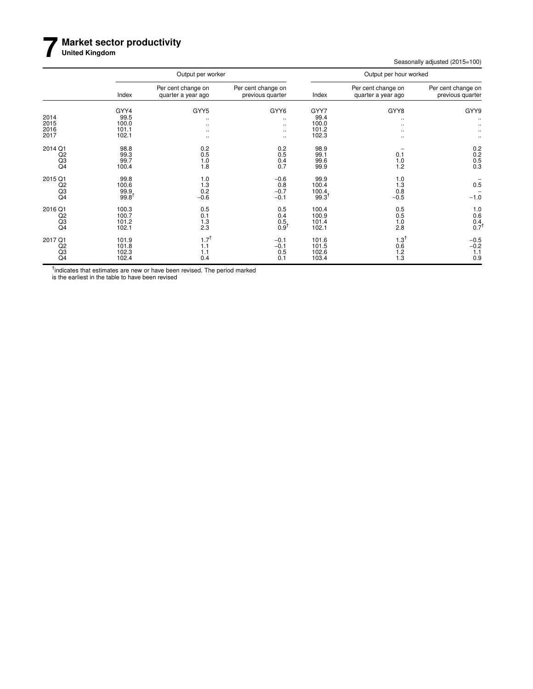### **7 Market sector productivity**

**United Kingdom**

Seasonally adjusted (2015=100)

|                                                   |                                           | Output per worker                                    |                                                          |                                            | Output per hour worked                   | Per cent change on<br>previous quarter<br>GYY9<br>0.2<br>$0.2$<br>0.5<br>0.3<br>0.5<br>$-1.0$ |  |  |  |
|---------------------------------------------------|-------------------------------------------|------------------------------------------------------|----------------------------------------------------------|--------------------------------------------|------------------------------------------|-----------------------------------------------------------------------------------------------|--|--|--|
|                                                   | Index                                     | Per cent change on<br>quarter a year ago             | Per cent change on<br>previous quarter                   | Index                                      | Per cent change on<br>quarter a year ago |                                                                                               |  |  |  |
| 2014<br>2015<br>2016<br>2017                      | GYY4<br>99.5<br>100.0<br>101.1<br>102.1   | GYY5<br>$\cdot\cdot$<br>$\cdots$<br><br>$\cdot\cdot$ | GYY6<br>$\ddotsc$<br>$\ddotsc$<br>$\ddotsc$<br>$\ddotsc$ | GYY7<br>99.4<br>100.0<br>101.2<br>102.3    | GYY8<br>$\ddotsc$<br><br>٠.<br>٠.        |                                                                                               |  |  |  |
| 2014 Q1<br>Q2<br>Q3<br>Q <sub>4</sub>             | 98.8<br>99.3<br>99.7<br>100.4             | 0.2<br>0.5<br>1.0<br>1.8                             | 0.2<br>0.5<br>0.4<br>0.7                                 | 98.9<br>99.1<br>99.6<br>99.9               | 0.1<br>1.0<br>1.2                        |                                                                                               |  |  |  |
| 2015 Q1<br>Q2<br>Q3<br>Q4                         | 99.8<br>100.6<br>99.9<br>$99.8^{\dagger}$ | 1.0<br>1.3<br>0.2<br>$-0.6$                          | $-0.6$<br>0.8<br>$-0.7$<br>$-0.1$                        | 99.9<br>100.4<br>100.4<br>$99.3^{\dagger}$ | 1.0<br>1.3<br>0.8<br>$-0.5$              |                                                                                               |  |  |  |
| 2016 Q1<br>Q2<br>Q <sub>3</sub><br>Q <sub>4</sub> | 100.3<br>100.7<br>101.2<br>102.1          | 0.5<br>0.1<br>1.3<br>2.3                             | 0.5<br>0.4<br>0.5<br>$0.9^1$                             | 100.4<br>100.9<br>101.4<br>102.1           | 0.5<br>0.5<br>1.0<br>2.8                 | $\begin{array}{c} 1.0 \\ 0.6 \end{array}$<br>$0.4$<br>$0.7$ <sup>†</sup>                      |  |  |  |
| 2017 Q1<br>Q2<br>Q3<br>Q <sub>4</sub>             | 101.9<br>101.8<br>102.3<br>102.4          | $1.7^{+}$<br>1.1<br>1.1<br>0.4                       | $-0.1$<br>$-0.1$<br>0.5<br>0.1                           | 101.6<br>101.5<br>102.6<br>103.4           | $1.3^{\dagger}$<br>0.6<br>1.2<br>1.3     | $-0.5$<br>$-0.2$<br>1.1<br>0.9                                                                |  |  |  |

<sup>†</sup>indicates that estimates are new or have been revised. The period marked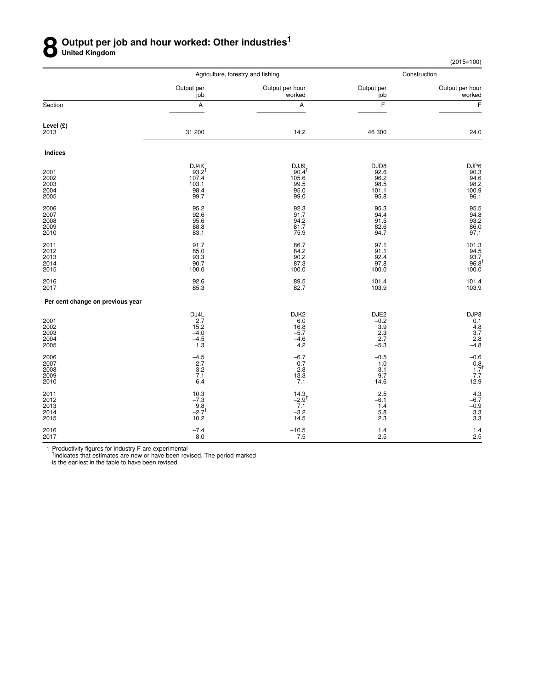### **8** Output per job and hour worked: Other industries<sup>1</sup><br> **8** United Kingdom **United Kingdom**

(2015=100)

|                                      |                                                      | Agriculture, forestry and fishing                         |                                                      | Construction                                              |
|--------------------------------------|------------------------------------------------------|-----------------------------------------------------------|------------------------------------------------------|-----------------------------------------------------------|
|                                      | Output per<br>job                                    | Output per hour<br>worked                                 | Output per<br>job                                    | Output per hour<br>worked                                 |
| Section                              | A                                                    | А                                                         | F                                                    | F                                                         |
| Level (£)<br>2013                    | 31 200                                               | 14.2                                                      | 46 300                                               | 24.0                                                      |
| Indices                              |                                                      |                                                           |                                                      |                                                           |
| 2001<br>2002<br>2003<br>2004<br>2005 | DJ4K<br>$93.2^{1}$<br>107.4<br>103.1<br>98.4<br>99.7 | DJJ9<br>$90.4^{\dagger}$<br>105.6<br>99.5<br>95.0<br>99.0 | DJD8<br>92.6<br>96.2<br>98.5<br>101.1<br>95.8        | DJP6<br>90.3<br>94.6<br>98.2<br>100.9<br>96.1             |
| 2006<br>2007<br>2008<br>2009<br>2010 | 95.2<br>92.6<br>95.6<br>88.8<br>83.1                 | 92.3<br>91.7<br>94.2<br>81.7<br>75.9                      | 95.3<br>94.4<br>91.5<br>82.6<br>94.7                 | 95.5<br>94.8<br>93.2<br>86.0<br>97.1                      |
| 2011<br>2012<br>2013<br>2014<br>2015 | 91.7<br>85.0<br>93.3<br>90.7<br>100.0                | 86.7<br>84.2<br>90.2<br>87.3<br>100.0                     | 97.1<br>91.1<br>92.4<br>97.8<br>100.0                | $101.3$<br>94.5<br>93.7<br>96.8 <sup>†</sup><br>100.0     |
| 2016<br>2017                         | 92.6<br>85.3                                         | 89.5<br>82.7                                              | 101.4<br>103.9                                       | 101.4<br>103.9                                            |
| Per cent change on previous year     |                                                      |                                                           |                                                      |                                                           |
| 2001<br>2002<br>2003<br>2004<br>2005 | DJ4L<br>2.7<br>15.2<br>$-4.0$<br>$-4.5$<br>1.3       | DJK2<br>6.0<br>16.8<br>$-5.7$<br>$-4.6$<br>4.2            | DJE2<br>$-0.2$<br>3.9<br>$\frac{2.3}{2.7}$<br>$-5.3$ | DJP8<br>0.1<br>$4.8$<br>$3.7$<br>$2.8$<br>$-4.8$          |
| 2006<br>2007<br>2008<br>2009<br>2010 | $-4.5$<br>$-2.7$<br>3.2<br>$-7.1$<br>$-6.4$          | $-6.7$<br>$-0.7$<br>2.8<br>$-13.3$<br>$-7.1$              | $-0.5$<br>$-1.0$<br>$-3.1$<br>$-9.7$<br>14.6         | $-0.6$<br>$-0.8$<br>$-1.7$ <sup>†</sup><br>$-7.7$<br>12.9 |
| 2011<br>2012<br>2013<br>2014<br>2015 | 10.3<br>$-7.3$<br>9.8<br>$-2.7$ <sup>t</sup><br>10.2 | 14.3<br>$-2.9$ <sup>†</sup><br>7.1<br>$-3.2$<br>14.5      | 2.5<br>$-6.1$<br>1.4<br>5.8<br>2.3                   | $4.3 - 6.7 - 0.9 - 3.3 - 3.3 - 3.3$                       |
| 2016<br>2017                         | $-7.4$<br>$-8.0$                                     | $-10.5$<br>$-7.5$                                         | 1.4<br>2.5                                           | $1.4$<br>2.5                                              |

1 Productivity figures for industry F are experimental<br><sup>†</sup>indicates that estimates are new or have been revised. The period marked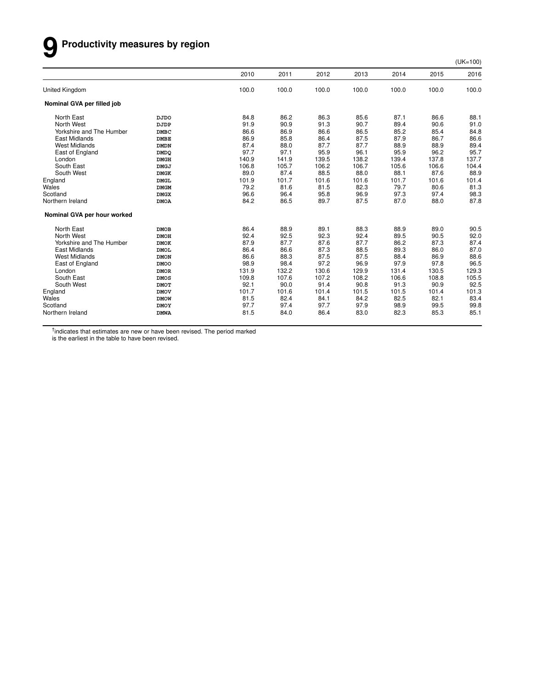# **9 Productivity measures by region**

(UK=100)

|                             |             | 2010  | 2011  | 2012  | 2013  | 2014  | 2015  | 2016  |
|-----------------------------|-------------|-------|-------|-------|-------|-------|-------|-------|
| <b>United Kingdom</b>       |             | 100.0 | 100.0 | 100.0 | 100.0 | 100.0 | 100.0 | 100.0 |
| Nominal GVA per filled job  |             |       |       |       |       |       |       |       |
| North East                  | <b>DJDO</b> | 84.8  | 86.2  | 86.3  | 85.6  | 87.1  | 86.6  | 88.1  |
| North West                  | DJDP        | 91.9  | 90.9  | 91.3  | 90.7  | 89.4  | 90.6  | 91.0  |
| Yorkshire and The Humber    | <b>DMBC</b> | 86.6  | 86.9  | 86.6  | 86.5  | 85.2  | 85.4  | 84.8  |
| East Midlands               | <b>DMBE</b> | 86.9  | 85.8  | 86.4  | 87.5  | 87.9  | 86.7  | 86.6  |
| <b>West Midlands</b>        | <b>DMDN</b> | 87.4  | 88.0  | 87.7  | 87.7  | 88.9  | 88.9  | 89.4  |
| East of England             | <b>DMDQ</b> | 97.7  | 97.1  | 95.9  | 96.1  | 95.9  | 96.2  | 95.7  |
| London                      | <b>DMGH</b> | 140.9 | 141.9 | 139.5 | 138.2 | 139.4 | 137.8 | 137.7 |
| South East                  | <b>DMGJ</b> | 106.8 | 105.7 | 106.2 | 106.7 | 105.6 | 106.6 | 104.4 |
| South West                  | <b>DMGK</b> | 89.0  | 87.4  | 88.5  | 88.0  | 88.1  | 87.6  | 88.9  |
| England                     | <b>DMGL</b> | 101.9 | 101.7 | 101.6 | 101.6 | 101.7 | 101.6 | 101.4 |
| Wales                       | <b>DMGM</b> | 79.2  | 81.6  | 81.5  | 82.3  | 79.7  | 80.6  | 81.3  |
| Scotland                    | <b>DMGX</b> | 96.6  | 96.4  | 95.8  | 96.9  | 97.3  | 97.4  | 98.3  |
| Northern Ireland            | <b>DMOA</b> | 84.2  | 86.5  | 89.7  | 87.5  | 87.0  | 88.0  | 87.8  |
| Nominal GVA per hour worked |             |       |       |       |       |       |       |       |
| North East                  | <b>DMOB</b> | 86.4  | 88.9  | 89.1  | 88.3  | 88.9  | 89.0  | 90.5  |
| North West                  | <b>DMOH</b> | 92.4  | 92.5  | 92.3  | 92.4  | 89.5  | 90.5  | 92.0  |
| Yorkshire and The Humber    | <b>DMOK</b> | 87.9  | 87.7  | 87.6  | 87.7  | 86.2  | 87.3  | 87.4  |
| East Midlands               | <b>DMOL</b> | 86.4  | 86.6  | 87.3  | 88.5  | 89.3  | 86.0  | 87.0  |
| <b>West Midlands</b>        | <b>DMON</b> | 86.6  | 88.3  | 87.5  | 87.5  | 88.4  | 86.9  | 88.6  |
| East of England             | <b>DMOO</b> | 98.9  | 98.4  | 97.2  | 96.9  | 97.9  | 97.8  | 96.5  |
| London                      | <b>DMOR</b> | 131.9 | 132.2 | 130.6 | 129.9 | 131.4 | 130.5 | 129.3 |
| South East                  | <b>DMOS</b> | 109.8 | 107.6 | 107.2 | 108.2 | 106.6 | 108.8 | 105.5 |
| South West                  | <b>DMOT</b> | 92.1  | 90.0  | 91.4  | 90.8  | 91.3  | 90.9  | 92.5  |
| England                     | <b>DMOV</b> | 101.7 | 101.6 | 101.4 | 101.5 | 101.5 | 101.4 | 101.3 |
| Wales                       | <b>DMOW</b> | 81.5  | 82.4  | 84.1  | 84.2  | 82.5  | 82.1  | 83.4  |
| Scotland                    | <b>DMOY</b> | 97.7  | 97.4  | 97.7  | 97.9  | 98.9  | 99.5  | 99.8  |
| Northern Ireland            | <b>DMWA</b> | 81.5  | 84.0  | 86.4  | 83.0  | 82.3  | 85.3  | 85.1  |
|                             |             |       |       |       |       |       |       |       |

<sup>†</sup>indicates that estimates are new or have been revised. The period marked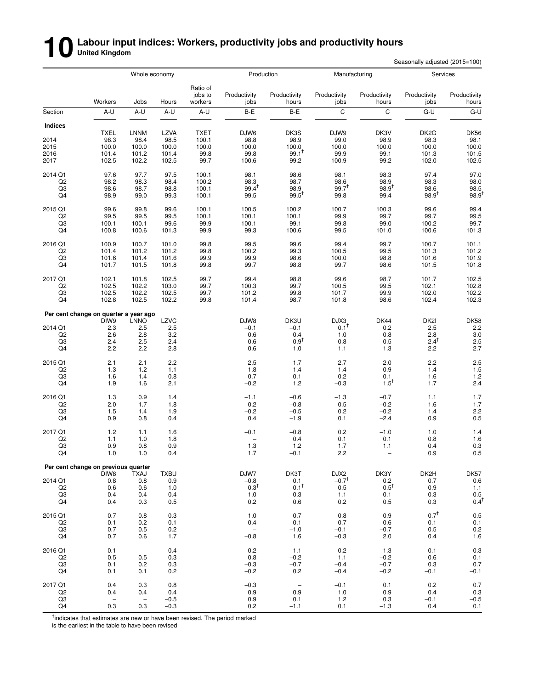# **10** Labour input indices: Workers, productivity jobs and productivity hours<br>
Secondary the Secondary Secondary Secondary Secondary Secondary Secondary Secondary Secondary Secondary Seconda<br>
Secondary Secondary Secondary S

Seasonally adjusted (2015=100)

|                                  |                                             | Whole economy            |                |                                |                      | Production                      | Manufacturing           |                        | Services<br>Productivity<br>hours<br>jobs<br>C<br>G-U<br>DK3V<br>DK <sub>2</sub> G<br>98.9<br>98.3<br>100.0<br>100.0<br>99.1<br>101.3<br>102.0<br>99.2 |                       |  |
|----------------------------------|---------------------------------------------|--------------------------|----------------|--------------------------------|----------------------|---------------------------------|-------------------------|------------------------|--------------------------------------------------------------------------------------------------------------------------------------------------------|-----------------------|--|
|                                  | Workers                                     | Jobs                     | Hours          | Ratio of<br>jobs to<br>workers | Productivity<br>jobs | Productivity<br>hours           | Productivity<br>jobs    | Productivity           |                                                                                                                                                        | Productivity<br>hours |  |
| Section                          | A-U                                         | A-U                      | A-U            | A-U                            | B-E                  | B-E                             | C                       |                        |                                                                                                                                                        | $G-U$                 |  |
| <b>Indices</b>                   |                                             |                          |                |                                |                      |                                 |                         |                        |                                                                                                                                                        |                       |  |
|                                  | <b>TXEL</b>                                 | <b>LNNM</b>              | <b>LZVA</b>    | <b>TXET</b>                    | DJW6                 | DK3S                            | DJW9                    |                        |                                                                                                                                                        | <b>DK56</b>           |  |
| 2014                             | 98.3                                        | 98.4                     | 98.5           | 100.1                          | 98.8                 | 98.9                            | 99.0                    |                        |                                                                                                                                                        | 98.1                  |  |
| 2015                             | 100.0                                       | 100.0                    | 100.0          | 100.0                          | 100.0                | 100.0                           | 100.0                   |                        |                                                                                                                                                        | 100.0                 |  |
| 2016<br>2017                     | 101.4<br>102.5                              | 101.2<br>102.2           | 101.4<br>102.5 | 99.8<br>99.7                   | 99.8<br>100.6        | $99.1^{\dagger}$<br>99.2        | 99.9<br>100.9           |                        |                                                                                                                                                        | 101.5<br>102.5        |  |
| 2014 Q1                          | 97.6                                        | 97.7                     | 97.5           | 100.1                          | 98.1                 | 98.6                            | 98.1                    | 98.3                   | 97.4                                                                                                                                                   | 97.0                  |  |
| Q2                               | 98.2                                        | 98.3                     | 98.4           | 100.2                          | 98.3                 | 98.7                            | 98.6                    | 98.9                   | 98.3                                                                                                                                                   | 98.0                  |  |
| Q3                               | 98.6                                        | 98.7                     | 98.8           | 100.1                          | $99.4^{\dagger}$     | 98.9                            | $99.7^{T}$              | $98.9^{+}$             | 98.6                                                                                                                                                   |                       |  |
| Q4                               | 98.9                                        | 99.0                     | 99.3           | 100.1                          | 99.5                 | $99.5^{\dagger}$                | 99.8                    | 99.4                   | $98.9^{†}$                                                                                                                                             | $\frac{98.5}{98.9}$   |  |
| 2015 Q1                          | 99.6                                        | 99.8                     | 99.6           | 100.1                          | 100.5                | 100.2                           | 100.7                   | 100.3                  | 99.6                                                                                                                                                   | 99.4                  |  |
| Q <sub>2</sub>                   | 99.5                                        | 99.5                     | 99.5           | 100.1                          | 100.1                | 100.1                           | 99.9                    | 99.7                   | 99.7                                                                                                                                                   | 99.5                  |  |
| Q3                               | 100.1                                       | 100.1                    | 99.6           | 99.9                           | 100.1                | 99.1                            | 99.8                    | 99.0                   | 100.2                                                                                                                                                  | 99.7                  |  |
| Q4                               | 100.8                                       | 100.6                    | 101.3          | 99.9                           | 99.3                 | 100.6                           | 99.5                    | 101.0                  | 100.6                                                                                                                                                  | 101.3                 |  |
| 2016 Q1                          | 100.9                                       | 100.7                    | 101.0          | 99.8                           | 99.5                 | 99.6                            | 99.4                    | 99.7                   | 100.7                                                                                                                                                  | 101.1                 |  |
| Q <sub>2</sub><br>Q <sub>3</sub> | 101.4<br>101.6                              | 101.2<br>101.4           | 101.2<br>101.6 | 99.8<br>99.9                   | 100.2<br>99.9        | 99.3<br>98.6                    | 100.5<br>100.0          | 99.5<br>98.8           | 101.3<br>101.6                                                                                                                                         | 101.2<br>101.9        |  |
| Q4                               | 101.7                                       | 101.5                    | 101.8          | 99.8                           | 99.7                 | 98.8                            | 99.7                    | 98.6                   | 101.5                                                                                                                                                  | 101.8                 |  |
| 2017 Q1                          | 102.1                                       | 101.8                    | 102.5          | 99.7                           | 99.4                 | 98.8                            | 99.6                    | 98.7                   | 101.7                                                                                                                                                  | 102.5                 |  |
| Q2                               | 102.5                                       | 102.2                    | 103.0          | 99.7                           | 100.3                | 99.7                            | 100.5                   | 99.5                   | 102.1                                                                                                                                                  | 102.8                 |  |
| Q3                               | 102.5                                       | 102.2                    | 102.5          | 99.7                           | 101.2                | 99.8                            | 101.7                   | 99.9                   | 102.0                                                                                                                                                  | 102.2                 |  |
| Q4                               | 102.8                                       | 102.5                    | 102.2          | 99.8                           | 101.4                | 98.7                            | 101.8                   | 98.6                   | 102.4                                                                                                                                                  | 102.3                 |  |
|                                  | Per cent change on quarter a year ago       |                          |                |                                |                      |                                 |                         |                        |                                                                                                                                                        |                       |  |
|                                  | DIW9                                        | <b>LNNO</b>              | LZVC           |                                | DJW8                 | DK3U                            | DJX3<br>$0.1^{\dagger}$ | <b>DK44</b>            | DK2I                                                                                                                                                   | <b>DK58</b>           |  |
| 2014 Q1<br>Q <sub>2</sub>        | 2.3<br>2.6                                  | 2.5<br>2.8               | 2.5<br>3.2     |                                | $-0.1$<br>0.6        | $-0.1$<br>0.4                   | 1.0                     | 0.2<br>0.8             | 2.5<br>2.8                                                                                                                                             | 2.2<br>$3.0\,$        |  |
| Q <sub>3</sub>                   | 2.4                                         | 2.5                      | 2.4            |                                | 0.6                  | $-0.9†$                         | 0.8                     | $-0.5$                 | $2.4^{\dagger}$                                                                                                                                        | 2.5                   |  |
| Q4                               | 2.2                                         | 2.2                      | 2.8            |                                | 0.6                  | 1.0                             | 1.1                     | 1.3                    | 2.2                                                                                                                                                    | 2.7                   |  |
| 2015 Q1                          | 2.1                                         | 2.1                      | 2.2            |                                | 2.5                  | 1.7                             | 2.7                     | 2.0                    | 2.2                                                                                                                                                    | 2.5                   |  |
| Q2                               | 1.3                                         | 1.2                      | 1.1            |                                | 1.8                  | 1.4                             | 1.4                     | 0.9                    | 1.4                                                                                                                                                    | 1.5                   |  |
| Q3                               | 1.6                                         | 1.4<br>1.6               | 0.8<br>2.1     |                                | 0.7                  | 0.1                             | 0.2<br>$-0.3$           | 0.1<br>$1.5^{\dagger}$ | 1.6<br>1.7                                                                                                                                             | 1.2                   |  |
| Q4                               | 1.9                                         |                          |                |                                | $-0.2$               | 1.2                             |                         |                        |                                                                                                                                                        | 2.4                   |  |
| 2016 Q1                          | 1.3                                         | 0.9                      | 1.4            |                                | $-1.1$               | $-0.6$                          | $-1.3$                  | $-0.7$                 | 1.1                                                                                                                                                    | 1.7                   |  |
| Q <sub>2</sub>                   | 2.0                                         | 1.7                      | 1.8            |                                | 0.2                  | $-0.8$                          | 0.5                     | $-0.2$                 | 1.6                                                                                                                                                    | 1.7                   |  |
| Q3<br>Q4                         | 1.5<br>0.9                                  | 1.4<br>0.8               | 1.9<br>0.4     |                                | $-0.2$<br>0.4        | $-0.5$<br>$-1.9$                | 0.2<br>0.1              | $-0.2$<br>$-2.4$       | 1.4<br>0.9                                                                                                                                             | 2.2<br>0.5            |  |
| 2017 Q1                          | 1.2                                         | 1.1                      | 1.6            |                                | $-0.1$               | $-0.8$                          | 0.2                     | $-1.0$                 | 1.0                                                                                                                                                    | 1.4                   |  |
| Q <sub>2</sub>                   | 1.1                                         | 1.0                      | 1.8            |                                |                      | 0.4                             | 0.1                     | 0.1                    | 0.8                                                                                                                                                    | 1.6                   |  |
| Q3                               | 0.9                                         | 0.8                      | 0.9            |                                | 1.3                  | 1.2                             | 1.7                     | 1.1                    | 0.4                                                                                                                                                    | 0.3                   |  |
| Q4                               | 1.0                                         | 1.0                      | 0.4            |                                | 1.7                  | $-0.1$                          | 2.2                     | $\qquad \qquad -$      | 0.9                                                                                                                                                    | 0.5                   |  |
|                                  | Per cent change on previous quarter<br>DIW8 |                          | <b>TXBU</b>    |                                | DJW7                 | DK3T                            | DJX2                    |                        | DK2H                                                                                                                                                   |                       |  |
| 2014 Q1                          | 0.8                                         | <b>TXAJ</b><br>0.8       | 0.9            |                                | $-0.8$               | 0.1                             | $-0.7^{\dagger}$        | DK3Y<br>0.2            | 0.7                                                                                                                                                    | DK57<br>$0.6\,$       |  |
| Q <sub>2</sub>                   | 0.6                                         | 0.6                      | 1.0            |                                | $0.3^{\dagger}$      | $0.1^{\dagger}$                 | 0.5                     | $0.5^{\dagger}$        | 0.9                                                                                                                                                    | 1.1                   |  |
| Q3                               | 0.4                                         | 0.4                      | 0.4            |                                | 1.0                  | 0.3                             | $1.1$                   | 0.1                    | 0.3                                                                                                                                                    | 0.5                   |  |
| Q4                               | 0.4                                         | 0.3                      | 0.5            |                                | 0.2                  | 0.6                             | 0.2                     | 0.5                    | 0.3                                                                                                                                                    | $0.4^{\dagger}$       |  |
| 2015 Q1                          | 0.7                                         | 0.8                      | 0.3            |                                | 1.0                  | 0.7                             | 0.8                     | 0.9                    | $0.7^{\dagger}$                                                                                                                                        | 0.5                   |  |
| Q <sub>2</sub>                   | $-0.1$                                      | $-0.2$                   | $-0.1$         |                                | $-0.4$               | $-0.1$                          | $-0.7$                  | $-0.6$                 | 0.1                                                                                                                                                    | 0.1                   |  |
| Q3                               | 0.7                                         | 0.5                      | 0.2            |                                | $\qquad \qquad -$    | $-1.0$                          | $-0.1$                  | $-0.7$                 | 0.5                                                                                                                                                    | 0.2                   |  |
| Q4                               | 0.7                                         | 0.6                      | 1.7            |                                | $-0.8$               | 1.6                             | $-0.3$                  | 2.0                    | 0.4                                                                                                                                                    | 1.6                   |  |
| 2016 Q1                          | 0.1                                         | $\overline{\phantom{m}}$ | $-0.4$         |                                | 0.2                  | $-1.1$                          | $-0.2$                  | $-1.3$                 | 0.1                                                                                                                                                    | $-0.3$                |  |
| Q2                               | 0.5                                         | 0.5                      | 0.3            |                                | 0.8                  | $-0.2$                          | 1.1                     | $-0.2$                 | 0.6                                                                                                                                                    | 0.1                   |  |
| Q3<br>Q4                         | 0.1<br>0.1                                  | 0.2<br>0.1               | 0.3<br>0.2     |                                | $-0.3$<br>$-0.2$     | $-0.7$<br>0.2                   | $-0.4$<br>$-0.4$        | $-0.7$<br>$-0.2$       | 0.3<br>$-0.1$                                                                                                                                          | $0.7\,$<br>$-0.1$     |  |
| 2017 Q1                          |                                             |                          | 0.8            |                                | $-0.3$               |                                 |                         |                        | 0.2                                                                                                                                                    | $0.7\,$               |  |
| Q <sub>2</sub>                   | 0.4<br>0.4                                  | 0.3<br>0.4               | 0.4            |                                | 0.9                  | $\overline{\phantom{m}}$<br>0.9 | $-0.1$<br>1.0           | 0.1<br>0.9             | 0.4                                                                                                                                                    | 0.3                   |  |
| Q3                               | $\overline{\phantom{a}}$                    | $\overline{\phantom{a}}$ | $-0.5$         |                                | 0.9                  | 0.1                             | 1.2                     | 0.3                    | $-0.1$                                                                                                                                                 | $-0.5$                |  |
| Q4                               | 0.3                                         | 0.3                      | $-0.3$         |                                | 0.2                  | $-1.1$                          | 0.1                     | $-1.3$                 | 0.4                                                                                                                                                    | 0.1                   |  |

<sup>†</sup>indicates that estimates are new or have been revised. The period marked